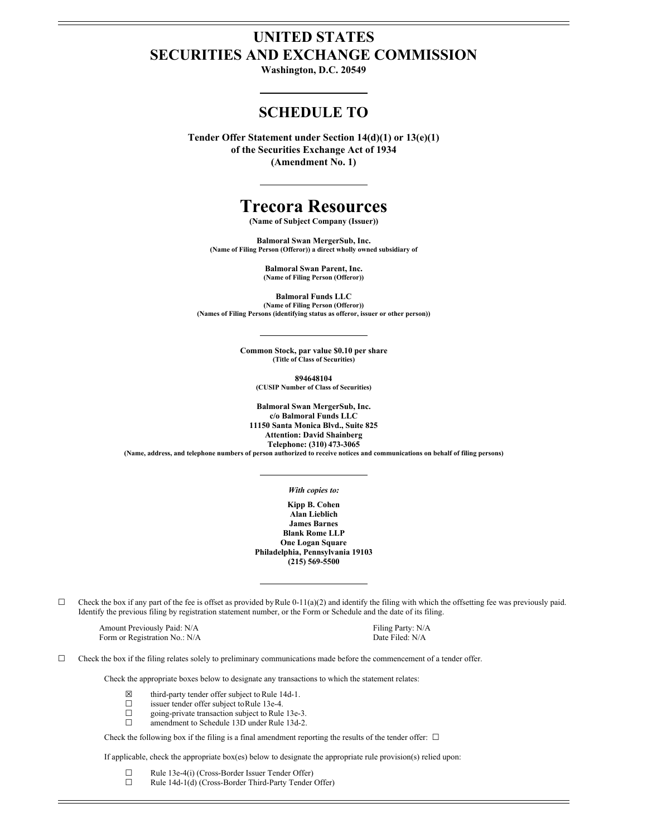# **UNITED STATES SECURITIES AND EXCHANGE COMMISSION**

**Washington, D.C. 20549**

# **SCHEDULE TO**

**Tender Offer Statement under Section 14(d)(1) or 13(e)(1) of the Securities Exchange Act of 1934 (Amendment No. 1)**

# **Trecora Resources**

**(Name of Subject Company (Issuer))**

**Balmoral Swan MergerSub, Inc. (Name of Filing Person (Offeror)) a direct wholly owned subsidiary of**

> **Balmoral Swan Parent, Inc. (Name of Filing Person (Offeror))**

**Balmoral Funds LLC (Name of Filing Person (Offeror)) (Names of Filing Persons (identifying status as offeror, issuer or other person))**

> **Common Stock, par value \$0.10 per share (Title of Class of Securities)**

> > **894648104**

**(CUSIP Number of Class of Securities)**

**Balmoral Swan MergerSub, Inc. c/o Balmoral Funds LLC 11150 Santa Monica Blvd., Suite 825 Attention: David Shainberg Telephone: (310) 473-3065**

(Name, address, and telephone numbers of person authorized to receive notices and communications on behalf of filing persons)

### *With copies to:*

**Kipp B. Cohen Alan Lieblich James Barnes Blank Rome LLP One Logan Square Philadelphia, Pennsylvania 19103 (215) 569-5500**

 $\Box$  Check the box if any part of the fee is offset as provided by Rule 0-11(a)(2) and identify the filing with which the offsetting fee was previously paid. Identify the previous filing by registration statement number, or the Form or Schedule and the date of its filing.

Amount Previously Paid: N/A Filing Party: N/A Form or Registration No.: N/A Date Filed: N/A

 $\Box$  Check the box if the filing relates solely to preliminary communications made before the commencement of a tender offer.

Check the appropriate boxes below to designate any transactions to which the statement relates:

- $\boxtimes$  third-party tender offer subject to Rule 14d-1.<br>  $\Box$  issuer tender offer subject to Rule 13e-4.
- issuer tender offer subject to Rule 13e-4.
- □ going-private transaction subject to Rule 13e-3.
- ☐ amendment to Schedule 13D under Rule 13d-2.

Check the following box if the filing is a final amendment reporting the results of the tender offer:  $\Box$ 

If applicable, check the appropriate box(es) below to designate the appropriate rule provision(s) relied upon:

- ☐ Rule 13e-4(i) (Cross-Border Issuer Tender Offer)
- Rule 14d-1(d) (Cross-Border Third-Party Tender Offer)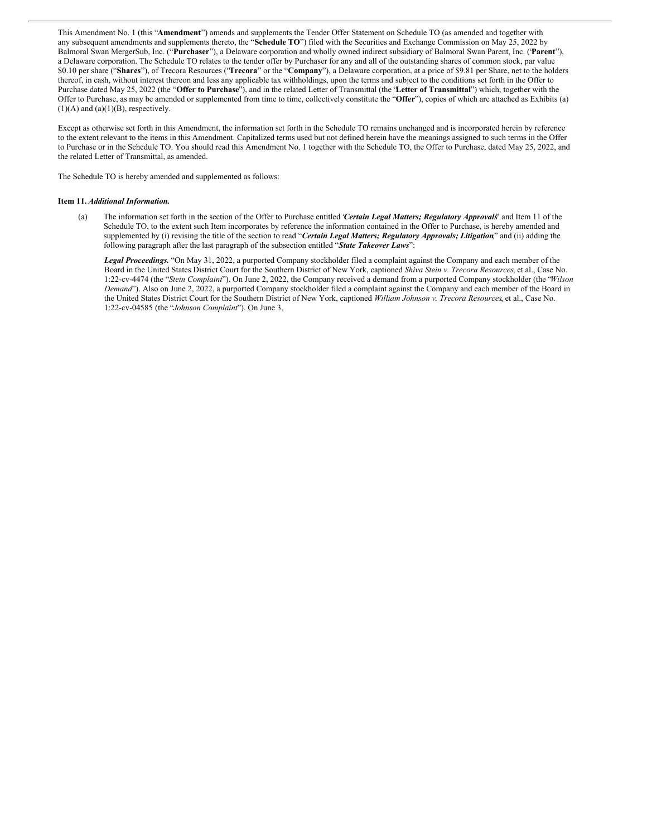This Amendment No. 1 (this "**Amendment**") amends and supplements the Tender Offer Statement on Schedule TO (as amended and together with any subsequent amendments and supplements thereto, the "**Schedule TO**") filed with the Securities and Exchange Commission on May 25, 2022 by Balmoral Swan MergerSub, Inc. ("**Purchaser**"), a Delaware corporation and wholly owned indirect subsidiary of Balmoral Swan Parent, Inc. ("**Parent**"), a Delaware corporation. The Schedule TO relates to the tender offer by Purchaser for any and all of the outstanding shares of common stock, par value \$0.10 per share ("**Shares**"), of Trecora Resources ("**Trecora**" or the "**Company**"), a Delaware corporation, at a price of \$9.81 per Share, net to the holders thereof, in cash, without interest thereon and less any applicable tax withholdings, upon the terms and subject to the conditions set forth in the Offer to Purchase dated May 25, 2022 (the "**Offer to Purchase**"), and in the related Letter of Transmittal (the "**Letter of Transmittal**") which, together with the Offer to Purchase, as may be amended or supplemented from time to time, collectively constitute the "**Offer**"), copies of which are attached as Exhibits (a)  $(1)(A)$  and  $(a)(1)(B)$ , respectively.

Except as otherwise set forth in this Amendment, the information set forth in the Schedule TO remains unchanged and is incorporated herein by reference to the extent relevant to the items in this Amendment. Capitalized terms used but not defined herein have the meanings assigned to such terms in the Offer to Purchase or in the Schedule TO. You should read this Amendment No. 1 together with the Schedule TO, the Offer to Purchase, dated May 25, 2022, and the related Letter of Transmittal, as amended.

The Schedule TO is hereby amended and supplemented as follows:

## **Item 11.** *Additional Information.*

(a) The information set forth in the section of the Offer to Purchase entitled "*Certain Legal Matters; Regulatory Approvals*" and Item 11 of the Schedule TO, to the extent such Item incorporates by reference the information contained in the Offer to Purchase, is hereby amended and supplemented by (i) revising the title of the section to read "*Certain Legal Matters; Regulatory Approvals; Litigation*," and (ii) adding the following paragraph after the last paragraph of the subsection entitled "*State Takeover Laws*":

*Legal Proceedings.* "On May 31, 2022, a purported Company stockholder filed a complaint against the Company and each member of the Board in the United States District Court for the Southern District of New York, captioned *Shiva Stein v. Trecora Resources*, et al., Case No. 1:22-cv-4474 (the "*Stein Complaint*"). On June 2, 2022, the Company received a demand from a purported Company stockholder (the "*Wilson Demand*"). Also on June 2, 2022, a purported Company stockholder filed a complaint against the Company and each member of the Board in the United States District Court for the Southern District of New York, captioned *William Johnson v. Trecora Resources*, et al., Case No. 1:22-cv-04585 (the "*Johnson Complaint*"). On June 3,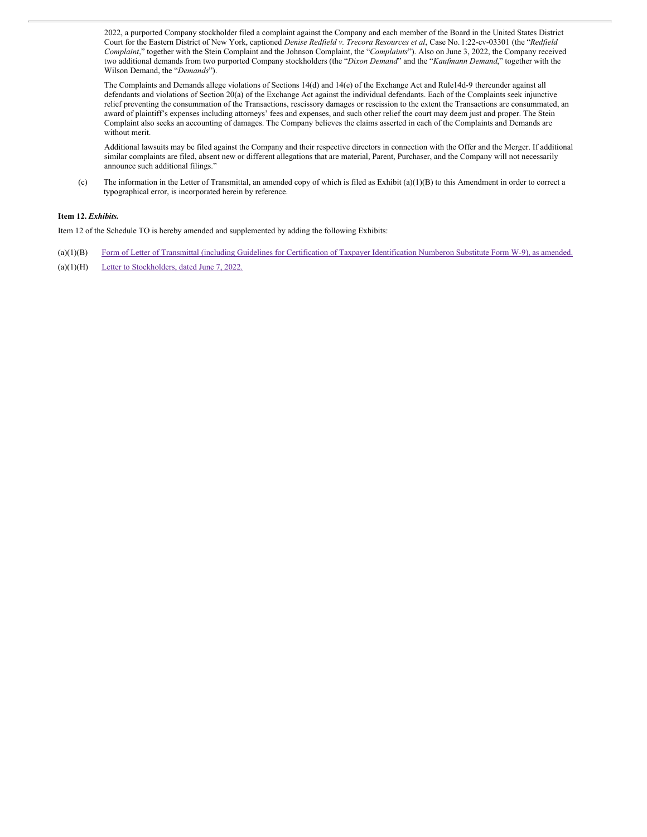2022, a purported Company stockholder filed a complaint against the Company and each member of the Board in the United States District Court for the Eastern District of New York, captioned *Denise Redfield v. Trecora Resources et al.*, Case No. 1:22-cv-03301 (the "*Redfield Complaint*," together with the Stein Complaint and the Johnson Complaint, the "*Complaints*"). Also on June 3, 2022, the Company received two additional demands from two purported Company stockholders (the "*Dixon Demand*" and the "*Kaufmann Demand*," together with the Wilson Demand, the "*Demands*").

The Complaints and Demands allege violations of Sections 14(d) and 14(e) of the Exchange Act and Rule14d-9 thereunder against all defendants and violations of Section 20(a) of the Exchange Act against the individual defendants. Each of the Complaints seek injunctive relief preventing the consummation of the Transactions, rescissory damages or rescission to the extent the Transactions are consummated, an award of plaintiff's expenses including attorneys' fees and expenses, and such other relief the court may deem just and proper. The Stein Complaint also seeks an accounting of damages. The Company believes the claims asserted in each of the Complaints and Demands are without merit.

Additional lawsuits may be filed against the Company and their respective directors in connection with the Offer and the Merger. If additional similar complaints are filed, absent new or different allegations that are material, Parent, Purchaser, and the Company will not necessarily announce such additional filings."

(c) The information in the Letter of Transmittal, an amended copy of which is filed as Exhibit (a)(1)(B) to this Amendment in order to correct a typographical error, is incorporated herein by reference.

# **Item 12.** *Exhibits.*

Item 12 of the Schedule TO is hereby amended and supplemented by adding the following Exhibits:

- (a)(1)(B) Form of Letter of Transmittal (including Guidelines for Certification of Taxpayer [Identification](#page-13-0) Numberon Substitute Form W-9), as amended.
- $(a)(1)(H)$  Letter to [Stockholders,](#page-23-0) dated June 7, 2022.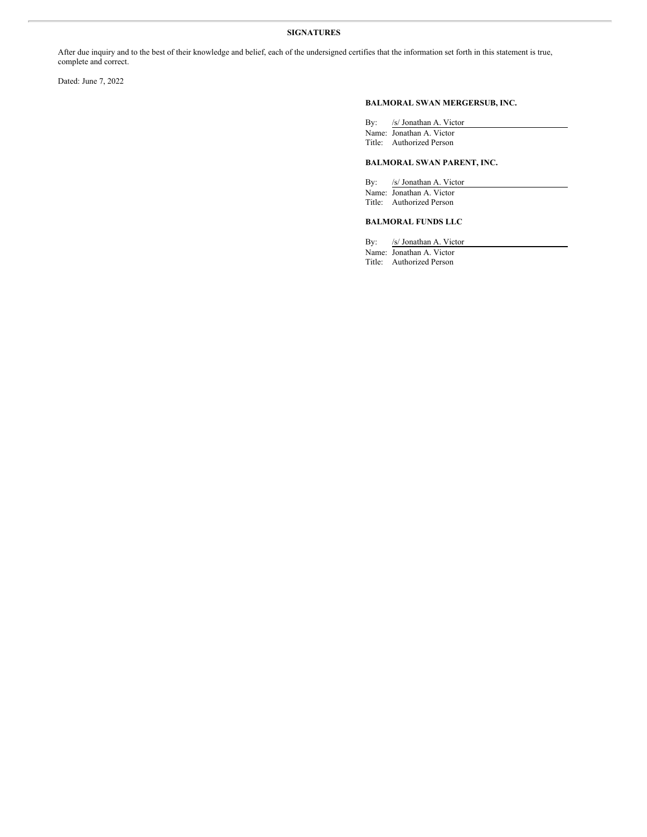# **SIGNATURES**

After due inquiry and to the best of their knowledge and belief, each of the undersigned certifies that the information set forth in this statement is true, complete and correct.

Dated: June 7, 2022

## **BALMORAL SWAN MERGERSUB, INC.**

| By: | /s/ Jonathan A. Victor   |
|-----|--------------------------|
|     | Name: Jonathan A. Victor |
|     | Title: Authorized Person |

# **BALMORAL SWAN PARENT, INC.**

By: /s/ Jonathan A. Victor Name: Jonathan A. Victor Title: Authorized Person

# **BALMORAL FUNDS LLC**

| $\mathbf{By:}$ | /s/ Jonathan A. Victor   |
|----------------|--------------------------|
|                | Name: Jonathan A. Victor |
|                | Title: Authorized Person |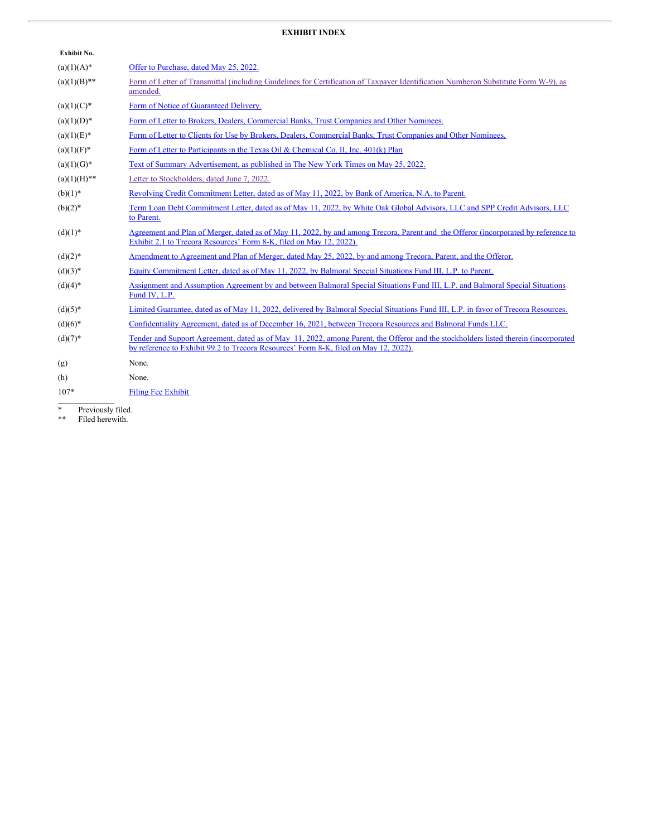# **EXHIBIT INDEX**

| Exhibit No.                    |                                                                                                                                                                                                                             |
|--------------------------------|-----------------------------------------------------------------------------------------------------------------------------------------------------------------------------------------------------------------------------|
| $(a)(1)(A)^*$                  | Offer to Purchase, dated May 25, 2022.                                                                                                                                                                                      |
| $(a)(1)(B)$ **                 | Form of Letter of Transmittal (including Guidelines for Certification of Taxpayer Identification Numberon Substitute Form W-9), as<br>amended.                                                                              |
| $(a)(1)(C)^*$                  | Form of Notice of Guaranteed Delivery.                                                                                                                                                                                      |
| $(a)(1)(D)^*$                  | Form of Letter to Brokers, Dealers, Commercial Banks, Trust Companies and Other Nominees.                                                                                                                                   |
| $(a)(1)(E)^*$                  | Form of Letter to Clients for Use by Brokers, Dealers, Commercial Banks, Trust Companies and Other Nominees.                                                                                                                |
| $(a)(1)(F)^*$                  | Form of Letter to Participants in the Texas Oil & Chemical Co. II, Inc. 401(k) Plan                                                                                                                                         |
| $(a)(1)(G)^*$                  | Text of Summary Advertisement, as published in The New York Times on May 25, 2022.                                                                                                                                          |
| $(a)(1)(H)$ **                 | Letter to Stockholders, dated June 7, 2022.                                                                                                                                                                                 |
| $(b)(1)^*$                     | Revolving Credit Commitment Letter, dated as of May 11, 2022, by Bank of America, N.A. to Parent.                                                                                                                           |
| $(b)(2)^*$                     | Term Loan Debt Commitment Letter, dated as of May 11, 2022, by White Oak Global Advisors, LLC and SPP Credit Advisors, LLC<br>to Parent.                                                                                    |
| $(d)(1)^*$                     | Agreement and Plan of Merger, dated as of May 11, 2022, by and among Trecora, Parent and the Offeror (incorporated by reference to<br>Exhibit 2.1 to Trecora Resources' Form 8-K, filed on May 12, 2022).                   |
| $(d)(2)^*$                     | Amendment to Agreement and Plan of Merger, dated May 25, 2022, by and among Trecora, Parent, and the Offeror.                                                                                                               |
| $(d)(3)^*$                     | Equity Commitment Letter, dated as of May 11, 2022, by Balmoral Special Situations Fund III, L.P. to Parent.                                                                                                                |
| $(d)(4)^*$                     | Assignment and Assumption Agreement by and between Balmoral Special Situations Fund III, L.P. and Balmoral Special Situations<br>Fund IV, L.P.                                                                              |
| $(d)(5)^*$                     | Limited Guarantee, dated as of May 11, 2022, delivered by Balmoral Special Situations Fund III, L.P. in favor of Trecora Resources.                                                                                         |
| $(d)(6)^*$                     | Confidentiality Agreement, dated as of December 16, 2021, between Trecora Resources and Balmoral Funds LLC.                                                                                                                 |
| $(d)(7)^*$                     | Tender and Support Agreement, dated as of May 11, 2022, among Parent, the Offeror and the stockholders listed therein (incorporated<br>by reference to Exhibit 99.2 to Trecora Resources' Form 8-K, filed on May 12, 2022). |
| (g)                            | None.                                                                                                                                                                                                                       |
| (h)                            | None.                                                                                                                                                                                                                       |
| $107*$<br>$\sim$ $\sim$ $\sim$ | <b>Filing Fee Exhibit</b>                                                                                                                                                                                                   |

\* Previously filed.

\*\* Filed herewith.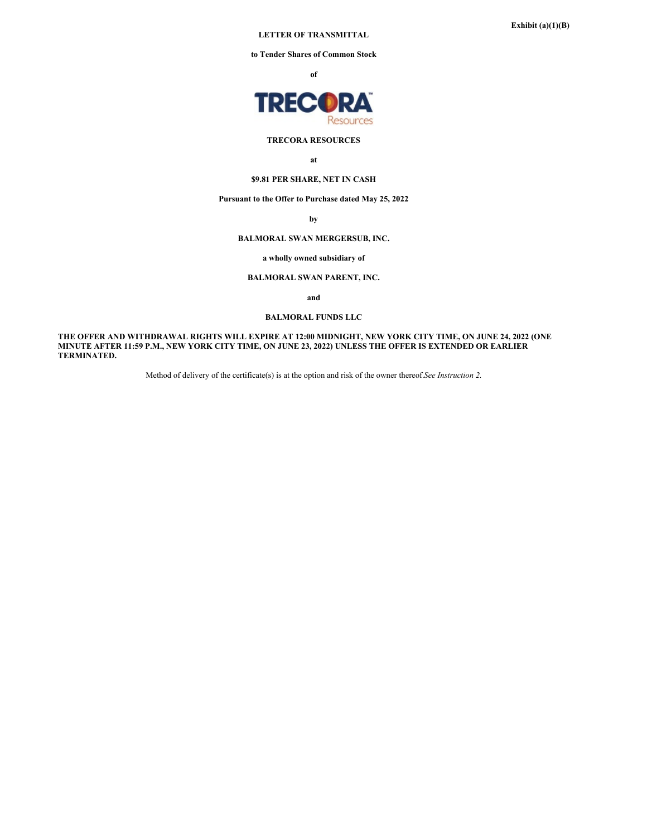**to Tender Shares of Common Stock**

**of**



# **TRECORA RESOURCES**

**at**

# **\$9.81 PER SHARE, NET IN CASH**

**Pursuant to the Offer to Purchase dated May 25, 2022**

**by**

# **BALMORAL SWAN MERGERSUB, INC.**

**a wholly owned subsidiary of**

# **BALMORAL SWAN PARENT, INC.**

**and**

## **BALMORAL FUNDS LLC**

THE OFFER AND WITHDRAWAL RIGHTS WILL EXPIRE AT 12:00 MIDNIGHT, NEW YORK CITY TIME, ON JUNE 24, 2022 (ONE MINUTE AFTER 11:59 P.M., NEW YORK CITY TIME, ON JUNE 23, 2022) UNLESS THE OFFER IS EXTENDED OR EARLIER **TERMINATED.**

Method of delivery of the certificate(s) is at the option and risk of the owner thereof.*See Instruction 2.*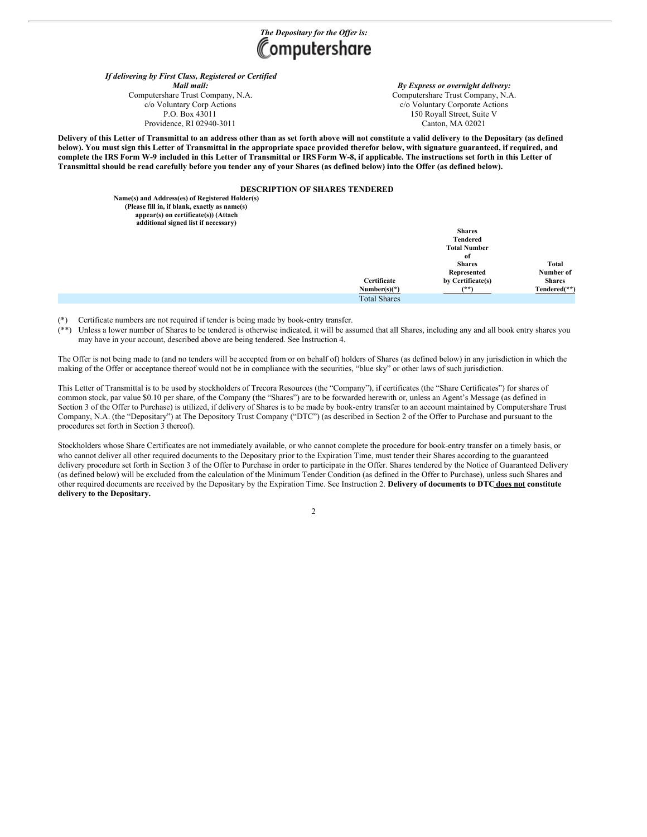

# *If delivering by First Class, Registered or Certified*

Computershare Trust Company, N.A. c/o Voluntary Corp Actions P.O. Box 43011 Providence, RI 02940-3011

*Mail mail: By Express or overnight delivery:* Computershare Trust Company, N.A. c/o Voluntary Corporate Actions 150 Royall Street, Suite V Canton, MA 02021

Delivery of this Letter of Transmittal to an address other than as set forth above will not constitute a valid delivery to the Depositary (as defined below). You must sign this Letter of Transmittal in the appropriate space provided therefor below, with signature guaranteed, if required, and complete the IRS Form W-9 included in this Letter of Transmittal or IRS Form W-8, if applicable. The instructions set forth in this Letter of Transmittal should be read carefully before you tender any of your Shares (as defined below) into the Offer (as defined below).

# **DESCRIPTION OF SHARES TENDERED**

**Name(s) and Address(es) of Registered Holder(s) (Please fill in, if blank, exactly as name(s) appear(s) on certificate(s)) (Attach additional signed list if necessary)**

|  |                     | <b>Shares</b>       |               |
|--|---------------------|---------------------|---------------|
|  |                     | <b>Tendered</b>     |               |
|  |                     | <b>Total Number</b> |               |
|  |                     | of                  |               |
|  |                     | <b>Shares</b>       | Total         |
|  |                     | Represented         | Number of     |
|  | Certificate         | by Certificate(s)   | <b>Shares</b> |
|  | Number(s) $(*)$     | $(**)$              | Tendered(**)  |
|  | <b>Total Shares</b> |                     |               |
|  |                     |                     |               |

- Certificate numbers are not required if tender is being made by book-entry transfer.
- (\*\*) Unless a lower number of Shares to be tendered is otherwise indicated, it will be assumed that all Shares, including any and all book entry shares you may have in your account, described above are being tendered. See Instruction 4.

The Offer is not being made to (and no tenders will be accepted from or on behalf of) holders of Shares (as defined below) in any jurisdiction in which the making of the Offer or acceptance thereof would not be in compliance with the securities, "blue sky" or other laws of such jurisdiction.

This Letter of Transmittal is to be used by stockholders of Trecora Resources (the "Company"), if certificates (the "Share Certificates") for shares of common stock, par value \$0.10 per share, of the Company (the "Shares") are to be forwarded herewith or, unless an Agent's Message (as defined in Section 3 of the Offer to Purchase) is utilized, if delivery of Shares is to be made by book-entry transfer to an account maintained by Computershare Trust Company, N.A. (the "Depositary") at The Depository Trust Company ("DTC") (as described in Section 2 of the Offer to Purchase and pursuant to the procedures set forth in Section 3 thereof).

Stockholders whose Share Certificates are not immediately available, or who cannot complete the procedure for book-entry transfer on a timely basis, or who cannot deliver all other required documents to the Depositary prior to the Expiration Time, must tender their Shares according to the guaranteed delivery procedure set forth in Section 3 of the Offer to Purchase in order to participate in the Offer. Shares tendered by the Notice of Guaranteed Delivery (as defined below) will be excluded from the calculation of the Minimum Tender Condition (as defined in the Offer to Purchase), unless such Shares and other required documents are received by the Depositary by the Expiration Time. See Instruction 2. **Delivery of documents to DTC does not constitute delivery to the Depositary.**

 $\overline{2}$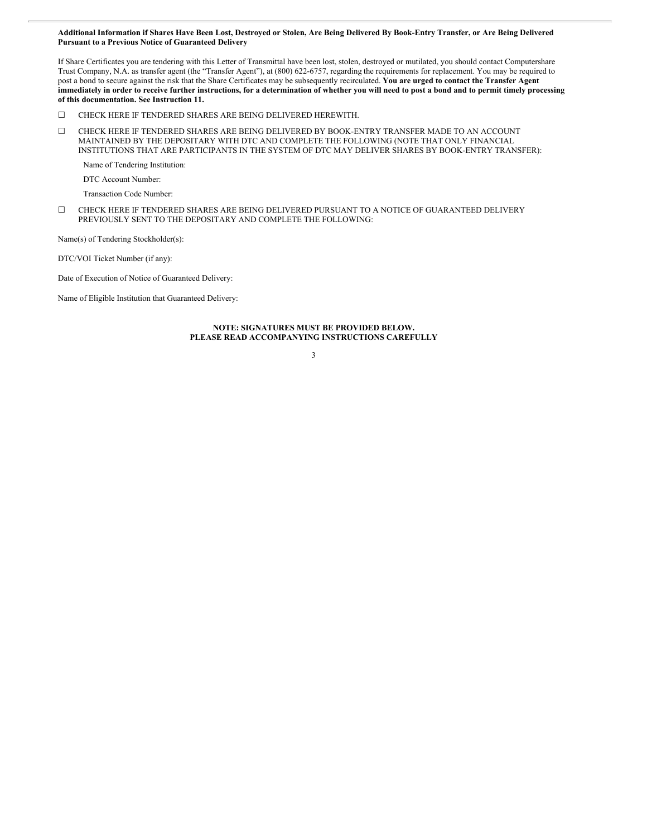### Additional Information if Shares Have Been Lost, Destroyed or Stolen, Are Being Delivered By Book-Entry Transfer, or Are Being Delivered **Pursuant to a Previous Notice of Guaranteed Delivery**

If Share Certificates you are tendering with this Letter of Transmittal have been lost, stolen, destroyed or mutilated, you should contact Computershare Trust Company, N.A. as transfer agent (the "Transfer Agent"), at (800) 622-6757, regarding the requirements for replacement. You may be required to post a bond to secure against the risk that the Share Certificates may be subsequently recirculated. **You are urged to contact the Transfer Agent** immediately in order to receive further instructions, for a determination of whether you will need to post a bond and to permit timely processing **of this documentation. See Instruction 11.**

- ☐ CHECK HERE IF TENDERED SHARES ARE BEING DELIVERED HEREWITH.
- ☐ CHECK HERE IF TENDERED SHARES ARE BEING DELIVERED BY BOOK-ENTRY TRANSFER MADE TO AN ACCOUNT MAINTAINED BY THE DEPOSITARY WITH DTC AND COMPLETE THE FOLLOWING (NOTE THAT ONLY FINANCIAL INSTITUTIONS THAT ARE PARTICIPANTS IN THE SYSTEM OF DTC MAY DELIVER SHARES BY BOOK-ENTRY TRANSFER):
	- Name of Tendering Institution:
	- DTC Account Number:
	- Transaction Code Number:
- ☐ CHECK HERE IF TENDERED SHARES ARE BEING DELIVERED PURSUANT TO A NOTICE OF GUARANTEED DELIVERY PREVIOUSLY SENT TO THE DEPOSITARY AND COMPLETE THE FOLLOWING:

Name(s) of Tendering Stockholder(s):

DTC/VOI Ticket Number (if any):

Date of Execution of Notice of Guaranteed Delivery:

Name of Eligible Institution that Guaranteed Delivery:

# **NOTE: SIGNATURES MUST BE PROVIDED BELOW. PLEASE READ ACCOMPANYING INSTRUCTIONS CAREFULLY**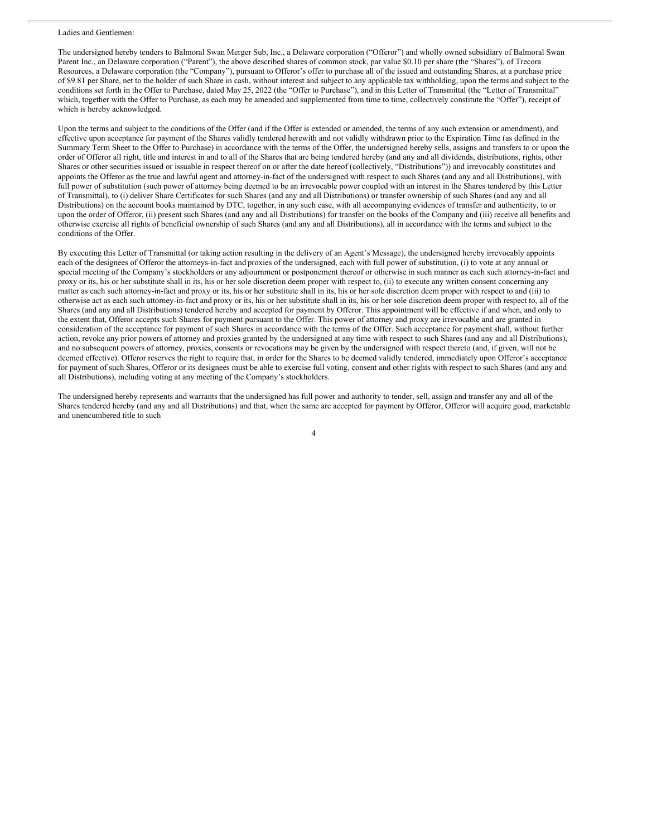#### Ladies and Gentlemen:

The undersigned hereby tenders to Balmoral Swan Merger Sub, Inc., a Delaware corporation ("Offeror") and wholly owned subsidiary of Balmoral Swan Parent Inc., an Delaware corporation ("Parent"), the above described shares of common stock, par value \$0.10 per share (the "Shares"), of Trecora Resources, a Delaware corporation (the "Company"), pursuant to Offeror's offer to purchase all of the issued and outstanding Shares, at a purchase price of \$9.81 per Share, net to the holder of such Share in cash, without interest and subject to any applicable tax withholding, upon the terms and subject to the conditions set forth in the Offer to Purchase, dated May 25, 2022 (the "Offer to Purchase"), and in this Letter of Transmittal (the "Letter of Transmittal" which, together with the Offer to Purchase, as each may be amended and supplemented from time to time, collectively constitute the "Offer"), receipt of which is hereby acknowledged.

Upon the terms and subject to the conditions of the Offer (and if the Offer is extended or amended, the terms of any such extension or amendment), and effective upon acceptance for payment of the Shares validly tendered herewith and not validly withdrawn prior to the Expiration Time (as defined in the Summary Term Sheet to the Offer to Purchase) in accordance with the terms of the Offer, the undersigned hereby sells, assigns and transfers to or upon the order of Offeror all right, title and interest in and to all of the Shares that are being tendered hereby (and any and all dividends, distributions, rights, other Shares or other securities issued or issuable in respect thereof on or after the date hereof (collectively, "Distributions")) and irrevocably constitutes and appoints the Offeror as the true and lawful agent and attorney-in-fact of the undersigned with respect to such Shares (and any and all Distributions), with full power of substitution (such power of attorney being deemed to be an irrevocable power coupled with an interest in the Shares tendered by this Letter of Transmittal), to (i) deliver Share Certificates for such Shares (and any and all Distributions) or transfer ownership of such Shares (and any and all Distributions) on the account books maintained by DTC, together, in any such case, with all accompanying evidences of transfer and authenticity, to or upon the order of Offeror, (ii) present such Shares (and any and all Distributions) for transfer on the books of the Company and (iii) receive all benefits and otherwise exercise all rights of beneficial ownership of such Shares (and any and all Distributions), all in accordance with the terms and subject to the conditions of the Offer.

By executing this Letter of Transmittal (or taking action resulting in the delivery of an Agent's Message), the undersigned hereby irrevocably appoints each of the designees of Offeror the attorneys-in-fact and proxies of the undersigned, each with full power of substitution, (i) to vote at any annual or special meeting of the Company's stockholders or any adjournment or postponement thereof or otherwise in such manner as each such attorney-in-fact and proxy or its, his or her substitute shall in its, his or her sole discretion deem proper with respect to, (ii) to execute any written consent concerning any matter as each such attorney-in-fact and proxy or its, his or her substitute shall in its, his or her sole discretion deem proper with respect to and (iii) to otherwise act as each such attorney-in-fact and proxy or its, his or her substitute shall in its, his or her sole discretion deem proper with respect to, all of the Shares (and any and all Distributions) tendered hereby and accepted for payment by Offeror. This appointment will be effective if and when, and only to the extent that, Offeror accepts such Shares for payment pursuant to the Offer. This power of attorney and proxy are irrevocable and are granted in consideration of the acceptance for payment of such Shares in accordance with the terms of the Offer. Such acceptance for payment shall, without further action, revoke any prior powers of attorney and proxies granted by the undersigned at any time with respect to such Shares (and any and all Distributions), and no subsequent powers of attorney, proxies, consents or revocations may be given by the undersigned with respect thereto (and, if given, will not be deemed effective). Offeror reserves the right to require that, in order for the Shares to be deemed validly tendered, immediately upon Offeror's acceptance for payment of such Shares, Offeror or its designees must be able to exercise full voting, consent and other rights with respect to such Shares (and any and all Distributions), including voting at any meeting of the Company's stockholders.

The undersigned hereby represents and warrants that the undersigned has full power and authority to tender, sell, assign and transfer any and all of the Shares tendered hereby (and any and all Distributions) and that, when the same are accepted for payment by Offeror, Offeror will acquire good, marketable and unencumbered title to such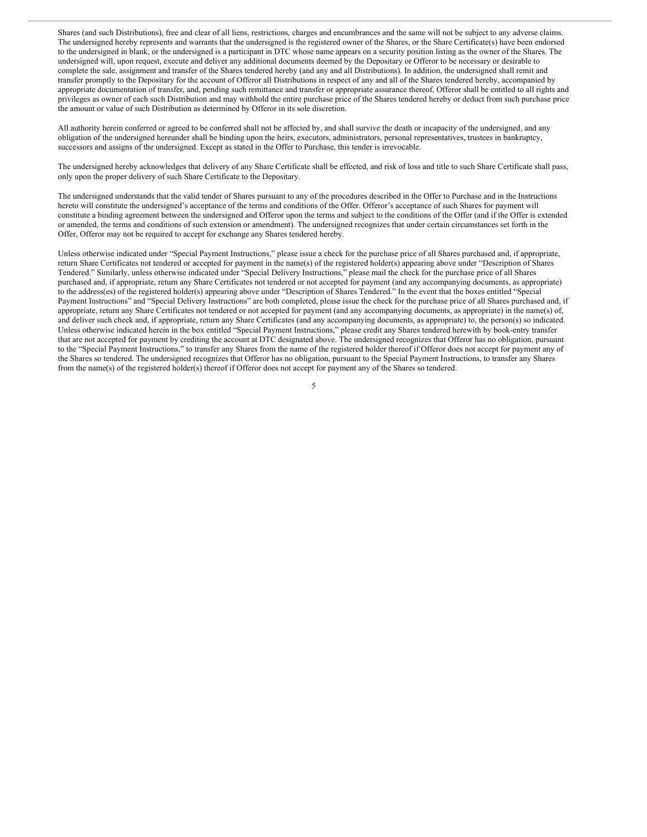Shares (and such Distributions), free and clear of all liens, restrictions, charges and encumbrances and the same will not be subject to any adverse claims. The undersigned hereby represents and warrants that the undersigned is the registered owner of the Shares, or the Share Certificate(s) have been endorsed to the undersigned in blank, or the undersigned is a participant in DTC whose name appears on a security position listing as the owner of the Shares. The undersigned will, upon request, execute and deliver any additional documents deemed by the Depositary or Offeror to be necessary or desirable to complete the sale, assignment and transfer of the Shares tendered hereby (and any and all Distributions). In addition, the undersigned shall remit and transfer promptly to the Depositary for the account of Offeror all Distributions in respect of any and all of the Shares tendered hereby, accompanied by appropriate documentation of transfer, and, pending such remittance and transfer or appropriate assurance thereof, Offeror shall be entitled to all rights and privileges as owner of each such Distribution and may withhold the entire purchase price of the Shares tendered hereby or deduct from such purchase price the amount or value of such Distribution as determined by Offeror in its sole discretion.

All authority herein conferred or agreed to be conferred shall not be affected by, and shall survive the death or incapacity of the undersigned, and any obligation of the undersigned hereunder shall be binding upon the heirs, executors, administrators, personal representatives, trustees in bankruptcy, successors and assigns of the undersigned. Except as stated in the Offer to Purchase, this tender is irrevocable.

The undersigned hereby acknowledges that delivery of any Share Certificate shall be effected, and risk of loss and title to such Share Certificate shall pass, only upon the proper delivery of such Share Certificate to the Depositary.

The undersigned understands that the valid tender of Shares pursuant to any of the procedures described in the Offer to Purchase and in the Instructions hereto will constitute the undersigned's acceptance of the terms and conditions of the Offer. Offeror's acceptance of such Shares for payment will constitute a binding agreement between the undersigned and Offeror upon the terms and subject to the conditions of the Offer (and if the Offer is extended or amended, the terms and conditions of such extension or amendment). The undersigned recognizes that under certain circumstances set forth in the Offer, Offeror may not be required to accept for exchange any Shares tendered hereby.

Unless otherwise indicated under "Special Payment Instructions," please issue a check for the purchase price of all Shares purchased and, if appropriate, return Share Certificates not tendered or accepted for payment in the name(s) of the registered holder(s) appearing above under "Description of Shares Tendered." Similarly, unless otherwise indicated under "Special Delivery Instructions," please mail the check for the purchase price of all Shares purchased and, if appropriate, return any Share Certificates not tendered or not accepted for payment (and any accompanying documents, as appropriate) to the address(es) of the registered holder(s) appearing above under "Description of Shares Tendered." In the event that the boxes entitled "Special Payment Instructions" and "Special Delivery Instructions" are both completed, please issue the check for the purchase price of all Shares purchased and, if appropriate, return any Share Certificates not tendered or not accepted for payment (and any accompanying documents, as appropriate) in the name(s) of, and deliver such check and, if appropriate, return any Share Certificates (and any accompanying documents, as appropriate) to, the person(s) so indicated. Unless otherwise indicated herein in the box entitled "Special Payment Instructions," please credit any Shares tendered herewith by book-entry transfer that are not accepted for payment by crediting the account at DTC designated above. The undersigned recognizes that Offeror has no obligation, pursuant to the "Special Payment Instructions," to transfer any Shares from the name of the registered holder thereof if Offeror does not accept for payment any of the Shares so tendered. The undersigned recognizes that Offeror has no obligation, pursuant to the Special Payment Instructions, to transfer any Shares from the name(s) of the registered holder(s) thereof if Offeror does not accept for payment any of the Shares so tendered.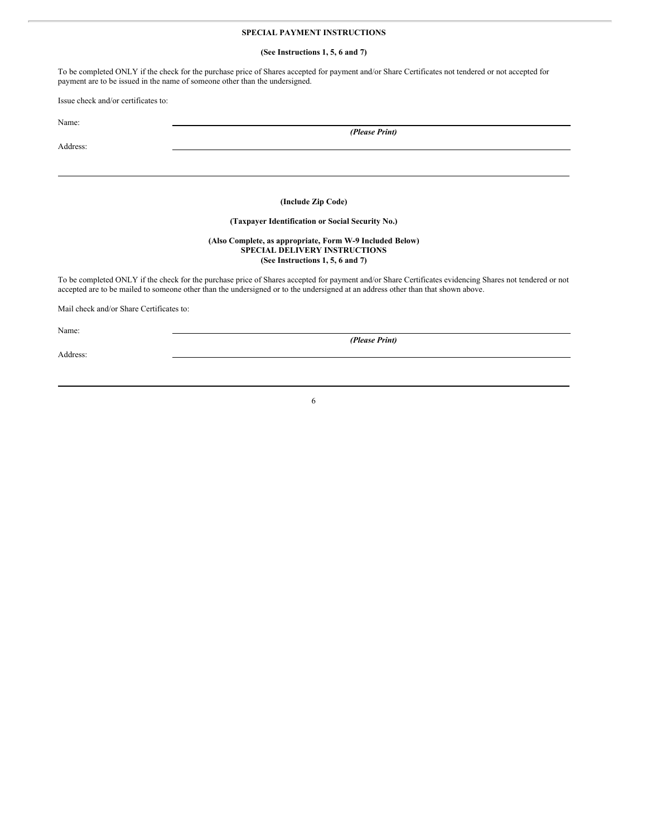# **SPECIAL PAYMENT INSTRUCTIONS**

# **(See Instructions 1, 5, 6 and 7)**

To be completed ONLY if the check for the purchase price of Shares accepted for payment and/or Share Certificates not tendered or not accepted for payment are to be issued in the name of someone other than the undersigned. Issue check and/or certificates to:

Name:

Address:

*(Please Print)*

**(Include Zip Code)**

**(Taxpayer Identification or Social Security No.)**

# **(Also Complete, as appropriate, Form W-9 Included Below) SPECIAL DELIVERY INSTRUCTIONS (See Instructions 1, 5, 6 and 7)**

To be completed ONLY if the check for the purchase price of Shares accepted for payment and/or Share Certificates evidencing Shares not tendered or not accepted are to be mailed to someone other than the undersigned or to the undersigned at an address other than that shown above.

Mail check and/or Share Certificates to:

Name:

*(Please Print)*

Address: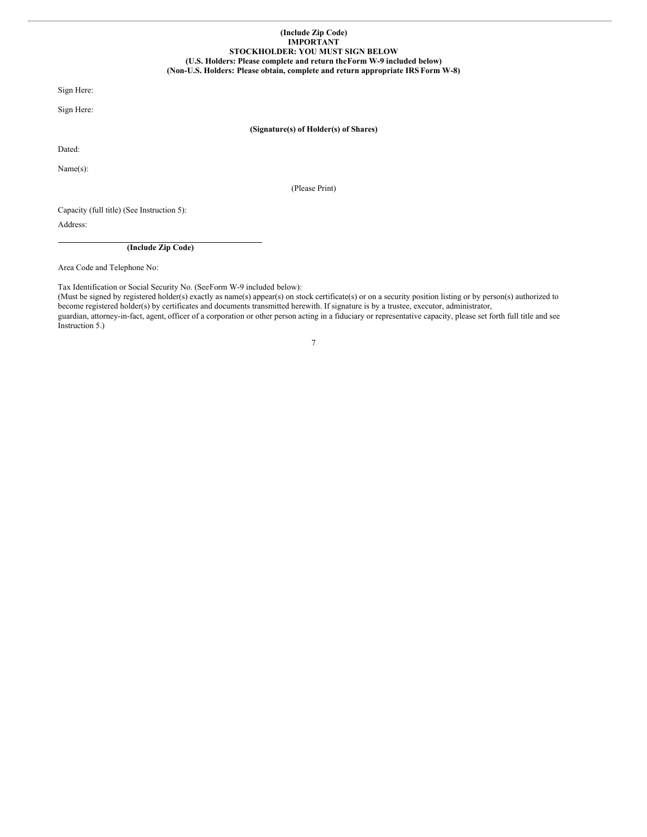# **(Include Zip Code) IMPORTANT STOCKHOLDER: YOU MUST SIGN BELOW (U.S. Holders: Please complete and return theForm W-9 included below) (Non-U.S. Holders: Please obtain, complete and return appropriate IRS Form W-8)**

Sign Here:

Sign Here:

**(Signature(s) of Holder(s) of Shares)**

Dated:

Name(s):

(Please Print)

Capacity (full title) (See Instruction 5):

Address:

**(Include Zip Code)**

Area Code and Telephone No:

Tax Identification or Social Security No. (SeeForm W-9 included below):

(Must be signed by registered holder(s) exactly as name(s) appear(s) on stock certificate(s) or on a security position listing or by person(s) authorized to become registered holder(s) by certificates and documents transmitted herewith. If signature is by a trustee, executor, administrator, guardian, attorney-in-fact, agent, officer of a corporation or other person acting in a fiduciary or representative capacity, please set forth full title and see Instruction 5.)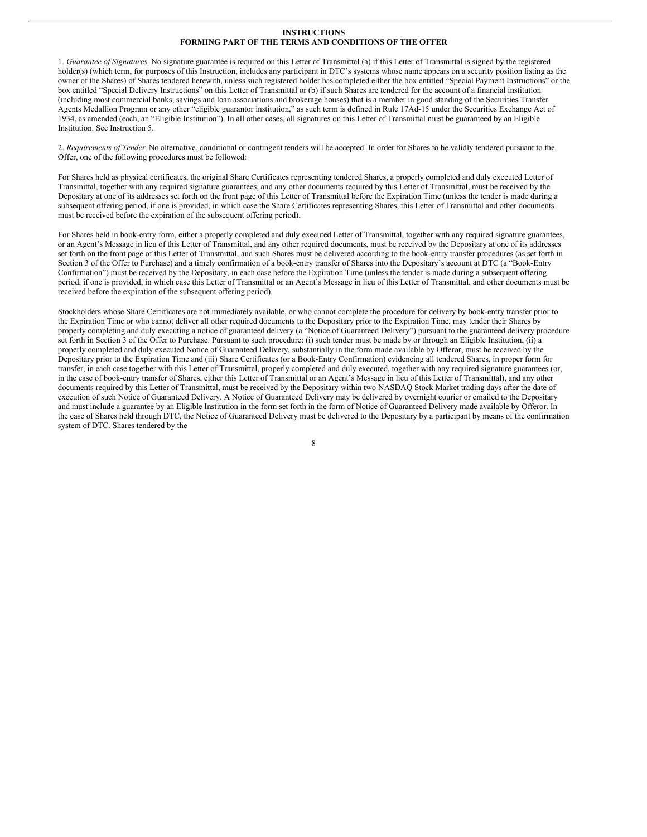### **INSTRUCTIONS FORMING PART OF THE TERMS AND CONDITIONS OF THE OFFER**

1. *Guarantee of Signatures.* No signature guarantee is required on this Letter of Transmittal (a) if this Letter of Transmittal is signed by the registered holder(s) (which term, for purposes of this Instruction, includes any participant in DTC's systems whose name appears on a security position listing as the owner of the Shares) of Shares tendered herewith, unless such registered holder has completed either the box entitled "Special Payment Instructions" or the box entitled "Special Delivery Instructions" on this Letter of Transmittal or (b) if such Shares are tendered for the account of a financial institution (including most commercial banks, savings and loan associations and brokerage houses) that is a member in good standing of the Securities Transfer Agents Medallion Program or any other "eligible guarantor institution," as such term is defined in Rule 17Ad-15 under the Securities Exchange Act of 1934, as amended (each, an "Eligible Institution"). In all other cases, all signatures on this Letter of Transmittal must be guaranteed by an Eligible Institution. See Instruction 5.

2. *Requirements of Tender.* No alternative, conditional or contingent tenders will be accepted. In order for Shares to be validly tendered pursuant to the Offer, one of the following procedures must be followed:

For Shares held as physical certificates, the original Share Certificates representing tendered Shares, a properly completed and duly executed Letter of Transmittal, together with any required signature guarantees, and any other documents required by this Letter of Transmittal, must be received by the Depositary at one of its addresses set forth on the front page of this Letter of Transmittal before the Expiration Time (unless the tender is made during a subsequent offering period, if one is provided, in which case the Share Certificates representing Shares, this Letter of Transmittal and other documents must be received before the expiration of the subsequent offering period).

For Shares held in book-entry form, either a properly completed and duly executed Letter of Transmittal, together with any required signature guarantees, or an Agent's Message in lieu of this Letter of Transmittal, and any other required documents, must be received by the Depositary at one of its addresses set forth on the front page of this Letter of Transmittal, and such Shares must be delivered according to the book-entry transfer procedures (as set forth in Section 3 of the Offer to Purchase) and a timely confirmation of a book-entry transfer of Shares into the Depositary's account at DTC (a "Book-Entry Confirmation") must be received by the Depositary, in each case before the Expiration Time (unless the tender is made during a subsequent offering period, if one is provided, in which case this Letter of Transmittal or an Agent's Message in lieu of this Letter of Transmittal, and other documents must be received before the expiration of the subsequent offering period).

Stockholders whose Share Certificates are not immediately available, or who cannot complete the procedure for delivery by book-entry transfer prior to the Expiration Time or who cannot deliver all other required documents to the Depositary prior to the Expiration Time, may tender their Shares by properly completing and duly executing a notice of guaranteed delivery (a "Notice of Guaranteed Delivery") pursuant to the guaranteed delivery procedure set forth in Section 3 of the Offer to Purchase. Pursuant to such procedure: (i) such tender must be made by or through an Eligible Institution, (ii) a properly completed and duly executed Notice of Guaranteed Delivery, substantially in the form made available by Offeror, must be received by the Depositary prior to the Expiration Time and (iii) Share Certificates (or a Book-Entry Confirmation) evidencing all tendered Shares, in proper form for transfer, in each case together with this Letter of Transmittal, properly completed and duly executed, together with any required signature guarantees (or, in the case of book-entry transfer of Shares, either this Letter of Transmittal or an Agent's Message in lieu of this Letter of Transmittal), and any other documents required by this Letter of Transmittal, must be received by the Depositary within two NASDAQ Stock Market trading days after the date of execution of such Notice of Guaranteed Delivery. A Notice of Guaranteed Delivery may be delivered by overnight courier or emailed to the Depositary and must include a guarantee by an Eligible Institution in the form set forth in the form of Notice of Guaranteed Delivery made available by Offeror. In the case of Shares held through DTC, the Notice of Guaranteed Delivery must be delivered to the Depositary by a participant by means of the confirmation system of DTC. Shares tendered by the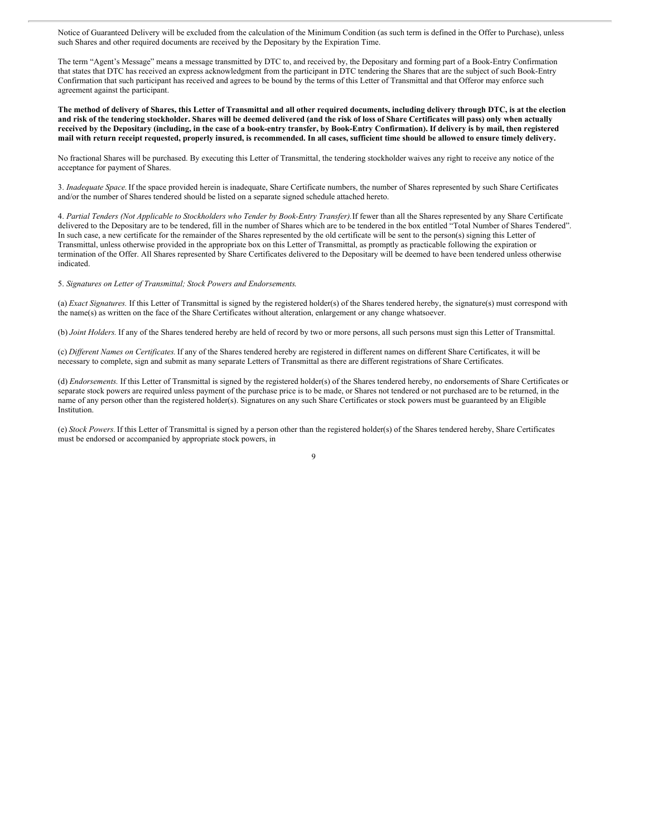<span id="page-13-0"></span>Notice of Guaranteed Delivery will be excluded from the calculation of the Minimum Condition (as such term is defined in the Offer to Purchase), unless such Shares and other required documents are received by the Depositary by the Expiration Time.

The term "Agent's Message" means a message transmitted by DTC to, and received by, the Depositary and forming part of a Book-Entry Confirmation that states that DTC has received an express acknowledgment from the participant in DTC tendering the Shares that are the subject of such Book-Entry Confirmation that such participant has received and agrees to be bound by the terms of this Letter of Transmittal and that Offeror may enforce such agreement against the participant.

The method of delivery of Shares, this Letter of Transmittal and all other required documents, including delivery through DTC, is at the election and risk of the tendering stockholder. Shares will be deemed delivered (and the risk of loss of Share Certificates will pass) only when actually received by the Depositary (including, in the case of a book-entry transfer, by Book-Entry Confirmation). If delivery is by mail, then registered mail with return receipt requested, properly insured, is recommended. In all cases, sufficient time should be allowed to ensure timely delivery.

No fractional Shares will be purchased. By executing this Letter of Transmittal, the tendering stockholder waives any right to receive any notice of the acceptance for payment of Shares.

3. *Inadequate Space.*If the space provided herein is inadequate, Share Certificate numbers, the number of Shares represented by such Share Certificates and/or the number of Shares tendered should be listed on a separate signed schedule attached hereto.

4. Partial Tenders (Not Applicable to Stockholders who Tender by Book-Entry Transfer). If fewer than all the Shares represented by any Share Certificate delivered to the Depositary are to be tendered, fill in the number of Shares which are to be tendered in the box entitled "Total Number of Shares Tendered". In such case, a new certificate for the remainder of the Shares represented by the old certificate will be sent to the person(s) signing this Letter of Transmittal, unless otherwise provided in the appropriate box on this Letter of Transmittal, as promptly as practicable following the expiration or termination of the Offer. All Shares represented by Share Certificates delivered to the Depositary will be deemed to have been tendered unless otherwise indicated.

#### 5. *Signatures on Letter of Transmittal; Stock Powers and Endorsements*.

(a) *Exact Signatures*. If this Letter of Transmittal is signed by the registered holder(s) of the Shares tendered hereby, the signature(s) must correspond with the name(s) as written on the face of the Share Certificates without alteration, enlargement or any change whatsoever.

(b) *Joint Holders.* If any of the Shares tendered hereby are held of record by two or more persons, all such persons must sign this Letter of Transmittal.

(c) *Dif erent Names on Certificates.* If any of the Shares tendered hereby are registered in different names on different Share Certificates, it will be necessary to complete, sign and submit as many separate Letters of Transmittal as there are different registrations of Share Certificates.

(d) *Endorsements*. If this Letter of Transmittal is signed by the registered holder(s) of the Shares tendered hereby, no endorsements of Share Certificates or separate stock powers are required unless payment of the purchase price is to be made, or Shares not tendered or not purchased are to be returned, in the name of any person other than the registered holder(s). Signatures on any such Share Certificates or stock powers must be guaranteed by an Eligible Institution.

(e) *Stock Powers.* If this Letter of Transmittal is signed by a person other than the registered holder(s) of the Shares tendered hereby, Share Certificates must be endorsed or accompanied by appropriate stock powers, in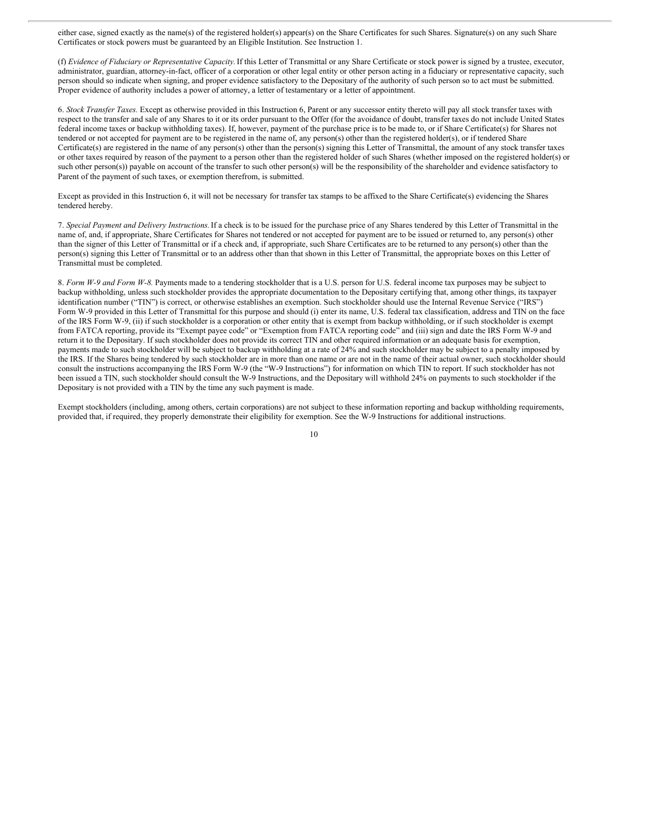either case, signed exactly as the name(s) of the registered holder(s) appear(s) on the Share Certificates for such Shares. Signature(s) on any such Share Certificates or stock powers must be guaranteed by an Eligible Institution. See Instruction 1.

(f) *Evidence of Fiduciary or Representative Capacity.*If this Letter of Transmittal or any Share Certificate or stock power is signed by a trustee, executor, administrator, guardian, attorney-in-fact, officer of a corporation or other legal entity or other person acting in a fiduciary or representative capacity, such person should so indicate when signing, and proper evidence satisfactory to the Depositary of the authority of such person so to act must be submitted. Proper evidence of authority includes a power of attorney, a letter of testamentary or a letter of appointment.

6. *Stock Transfer Taxes.* Except as otherwise provided in this Instruction 6, Parent or any successor entity thereto will pay all stock transfer taxes with respect to the transfer and sale of any Shares to it or its order pursuant to the Offer (for the avoidance of doubt, transfer taxes do not include United States federal income taxes or backup withholding taxes). If, however, payment of the purchase price is to be made to, or if Share Certificate(s) for Shares not tendered or not accepted for payment are to be registered in the name of, any person(s) other than the registered holder(s), or if tendered Share Certificate(s) are registered in the name of any person(s) other than the person(s) signing this Letter of Transmittal, the amount of any stock transfer taxes or other taxes required by reason of the payment to a person other than the registered holder of such Shares (whether imposed on the registered holder(s) or such other person(s)) payable on account of the transfer to such other person(s) will be the responsibility of the shareholder and evidence satisfactory to Parent of the payment of such taxes, or exemption therefrom, is submitted.

Except as provided in this Instruction 6, it will not be necessary for transfer tax stamps to be affixed to the Share Certificate(s) evidencing the Shares tendered hereby.

7. *Special Payment and Delivery Instructions.*If a check is to be issued for the purchase price of any Shares tendered by this Letter of Transmittal in the name of, and, if appropriate, Share Certificates for Shares not tendered or not accepted for payment are to be issued or returned to, any person(s) other than the signer of this Letter of Transmittal or if a check and, if appropriate, such Share Certificates are to be returned to any person(s) other than the person(s) signing this Letter of Transmittal or to an address other than that shown in this Letter of Transmittal, the appropriate boxes on this Letter of Transmittal must be completed.

8. *Form W-9 and Form W-8.* Payments made to a tendering stockholder that is a U.S. person for U.S. federal income tax purposes may be subject to backup withholding, unless such stockholder provides the appropriate documentation to the Depositary certifying that, among other things, its taxpayer identification number ("TIN") is correct, or otherwise establishes an exemption. Such stockholder should use the Internal Revenue Service ("IRS") Form W-9 provided in this Letter of Transmittal for this purpose and should (i) enter its name, U.S. federal tax classification, address and TIN on the face of the IRS Form W-9, (ii) if such stockholder is a corporation or other entity that is exempt from backup withholding, or if such stockholder is exempt from FATCA reporting, provide its "Exempt payee code" or "Exemption from FATCA reporting code" and (iii) sign and date the IRS Form W-9 and return it to the Depositary. If such stockholder does not provide its correct TIN and other required information or an adequate basis for exemption, payments made to such stockholder will be subject to backup withholding at a rate of 24% and such stockholder may be subject to a penalty imposed by the IRS. If the Shares being tendered by such stockholder are in more than one name or are not in the name of their actual owner, such stockholder should consult the instructions accompanying the IRS Form W-9 (the "W-9 Instructions") for information on which TIN to report. If such stockholder has not been issued a TIN, such stockholder should consult the W-9 Instructions, and the Depositary will withhold 24% on payments to such stockholder if the Depositary is not provided with a TIN by the time any such payment is made.

Exempt stockholders (including, among others, certain corporations) are not subject to these information reporting and backup withholding requirements, provided that, if required, they properly demonstrate their eligibility for exemption. See the W-9 Instructions for additional instructions.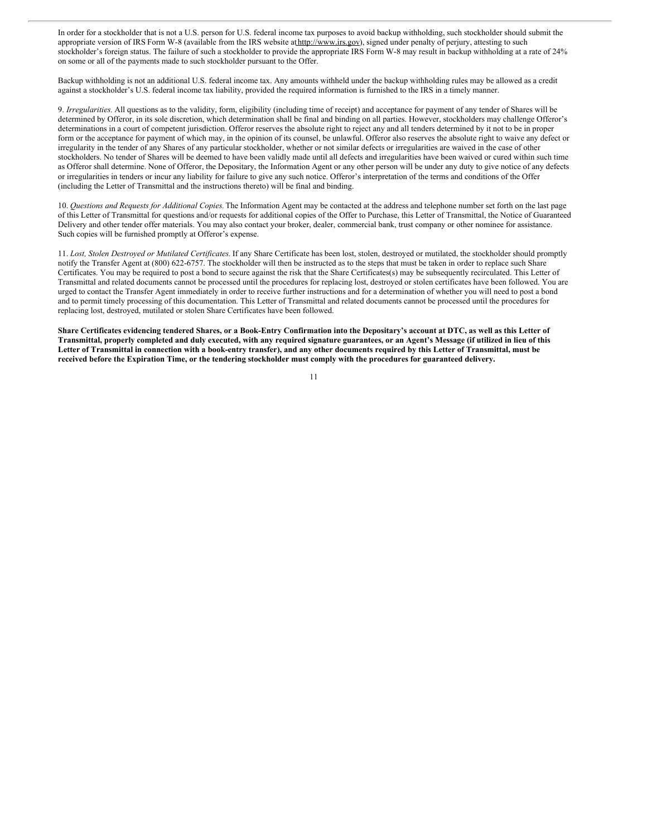In order for a stockholder that is not a U.S. person for U.S. federal income tax purposes to avoid backup withholding, such stockholder should submit the appropriate version of IRS Form W-8 (available from the IRS website at http://www.irs.gov), signed under penalty of perjury, attesting to such stockholder's foreign status. The failure of such a stockholder to provide the appropriate IRS Form W-8 may result in backup withholding at a rate of 24% on some or all of the payments made to such stockholder pursuant to the Offer.

Backup withholding is not an additional U.S. federal income tax. Any amounts withheld under the backup withholding rules may be allowed as a credit against a stockholder's U.S. federal income tax liability, provided the required information is furnished to the IRS in a timely manner.

9. *Irregularities.* All questions as to the validity, form, eligibility (including time of receipt) and acceptance for payment of any tender of Shares will be determined by Offeror, in its sole discretion, which determination shall be final and binding on all parties. However, stockholders may challenge Offeror's determinations in a court of competent jurisdiction. Offeror reserves the absolute right to reject any and all tenders determined by it not to be in proper form or the acceptance for payment of which may, in the opinion of its counsel, be unlawful. Offeror also reserves the absolute right to waive any defect or irregularity in the tender of any Shares of any particular stockholder, whether or not similar defects or irregularities are waived in the case of other stockholders. No tender of Shares will be deemed to have been validly made until all defects and irregularities have been waived or cured within such time as Offeror shall determine. None of Offeror, the Depositary, the Information Agent or any other person will be under any duty to give notice of any defects or irregularities in tenders or incur any liability for failure to give any such notice. Offeror's interpretation of the terms and conditions of the Offer (including the Letter of Transmittal and the instructions thereto) will be final and binding.

10. *Questions and Requests for Additional Copies.*The Information Agent may be contacted at the address and telephone number set forth on the last page of this Letter of Transmittal for questions and/or requests for additional copies of the Offer to Purchase, this Letter of Transmittal, the Notice of Guaranteed Delivery and other tender offer materials. You may also contact your broker, dealer, commercial bank, trust company or other nominee for assistance. Such copies will be furnished promptly at Offeror's expense.

11. *Lost, Stolen Destroyed or Mutilated Certificates.* If any Share Certificate has been lost, stolen, destroyed or mutilated, the stockholder should promptly notify the Transfer Agent at (800) 622-6757. The stockholder will then be instructed as to the steps that must be taken in order to replace such Share Certificates. You may be required to post a bond to secure against the risk that the Share Certificates(s) may be subsequently recirculated. This Letter of Transmittal and related documents cannot be processed until the procedures for replacing lost, destroyed or stolen certificates have been followed. You are urged to contact the Transfer Agent immediately in order to receive further instructions and for a determination of whether you will need to post a bond and to permit timely processing of this documentation. This Letter of Transmittal and related documents cannot be processed until the procedures for replacing lost, destroyed, mutilated or stolen Share Certificates have been followed.

Share Certificates evidencing tendered Shares, or a Book-Entry Confirmation into the Depositary's account at DTC, as well as this Letter of Transmittal, properly completed and duly executed, with any required signature guarantees, or an Agent's Message (if utilized in lieu of this Letter of Transmittal in connection with a book-entry transfer), and any other documents required by this Letter of Transmittal, must be received before the Expiration Time, or the tendering stockholder must comply with the procedures for guaranteed delivery.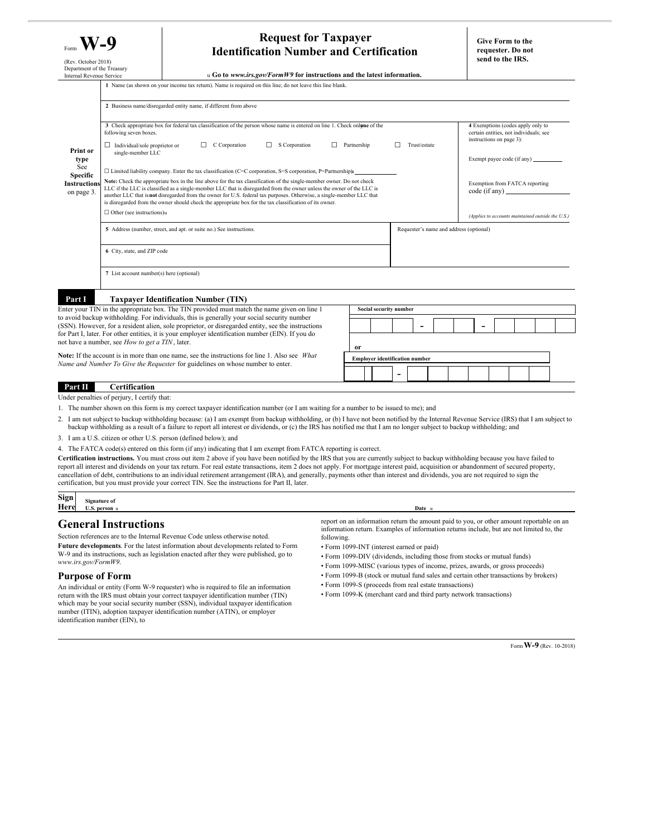(Rev. October 2018) Department of the Treasury Internal Revenue Service

# **Request for Taxpayer Identification Number and Certification**

**Give Form to the requester. Do not send to the IRS.**

u **Go to** *www.irs.gov/FormW9* **for instructions and the latest information.**

|                                   | 1 Name (as shown on your income tax return). Name is required on this line; do not leave this line blank.                                                                                                                                                                                                                                                                                                                                                                          |                        |                                       |              |                                                                             |                                         |                                                        |  |  |  |
|-----------------------------------|------------------------------------------------------------------------------------------------------------------------------------------------------------------------------------------------------------------------------------------------------------------------------------------------------------------------------------------------------------------------------------------------------------------------------------------------------------------------------------|------------------------|---------------------------------------|--------------|-----------------------------------------------------------------------------|-----------------------------------------|--------------------------------------------------------|--|--|--|
|                                   | 2 Business name/disregarded entity name, if different from above                                                                                                                                                                                                                                                                                                                                                                                                                   |                        |                                       |              |                                                                             |                                         |                                                        |  |  |  |
|                                   | 3 Check appropriate box for federal tax classification of the person whose name is entered on line 1. Check only ne of the<br>following seven boxes.                                                                                                                                                                                                                                                                                                                               |                        |                                       |              | 4 Exemptions (codes apply only to<br>certain entities, not individuals; see |                                         |                                                        |  |  |  |
| Print or<br>type                  | $\Box$ C Corporation<br>$\Box$ S Corporation<br>п<br>$\Box$ Individual/sole proprietor or<br>single-member LLC                                                                                                                                                                                                                                                                                                                                                                     | Partnership            |                                       | Trust/estate |                                                                             |                                         | instructions on page 3):<br>Exempt payee code (if any) |  |  |  |
| See<br><b>Specific</b>            | $\Box$ Limited liability company. Enter the tax classification (C=C corporation, S=S corporation, P=Partnership) $\Box$                                                                                                                                                                                                                                                                                                                                                            |                        |                                       |              |                                                                             |                                         |                                                        |  |  |  |
| <b>Instructions</b><br>on page 3. | Note: Check the appropriate box in the line above for the tax classification of the single-member owner. Do not check<br>LLC if the LLC is classified as a single-member LLC that is disregarded from the owner unless the owner of the LLC is<br>another LLC that is not disregarded from the owner for U.S. federal tax purposes. Otherwise, a single-member LLC that<br>is disregarded from the owner should check the appropriate box for the tax classification of its owner. |                        |                                       |              |                                                                             |                                         | Exemption from FATCA reporting<br>code (if any)        |  |  |  |
|                                   | $\Box$ Other (see instructions)u                                                                                                                                                                                                                                                                                                                                                                                                                                                   |                        |                                       |              |                                                                             |                                         | (Applies to accounts maintained outside the U.S.)      |  |  |  |
|                                   | 5 Address (number, street, and apt. or suite no.) See instructions.                                                                                                                                                                                                                                                                                                                                                                                                                |                        |                                       |              |                                                                             | Requester's name and address (optional) |                                                        |  |  |  |
|                                   | 6 City, state, and ZIP code                                                                                                                                                                                                                                                                                                                                                                                                                                                        |                        |                                       |              |                                                                             |                                         |                                                        |  |  |  |
|                                   | 7 List account number(s) here (optional)                                                                                                                                                                                                                                                                                                                                                                                                                                           |                        |                                       |              |                                                                             |                                         |                                                        |  |  |  |
| Part I                            | <b>Taxpayer Identification Number (TIN)</b>                                                                                                                                                                                                                                                                                                                                                                                                                                        |                        |                                       |              |                                                                             |                                         |                                                        |  |  |  |
|                                   | Enter your TIN in the appropriate box. The TIN provided must match the name given on line 1                                                                                                                                                                                                                                                                                                                                                                                        | Social security number |                                       |              |                                                                             |                                         |                                                        |  |  |  |
|                                   | to avoid backup withholding. For individuals, this is generally your social security number<br>(SSN). However, for a resident alien, sole proprietor, or disregarded entity, see the instructions                                                                                                                                                                                                                                                                                  |                        |                                       |              |                                                                             |                                         |                                                        |  |  |  |
|                                   | for Part I, later. For other entities, it is your employer identification number (EIN). If you do                                                                                                                                                                                                                                                                                                                                                                                  |                        |                                       |              |                                                                             |                                         |                                                        |  |  |  |
|                                   | not have a number, see How to get a TIN, later.                                                                                                                                                                                                                                                                                                                                                                                                                                    | <sub>or</sub>          |                                       |              |                                                                             |                                         |                                                        |  |  |  |
|                                   | Note: If the account is in more than one name, see the instructions for line 1. Also see What<br>Name and Number To Give the Requester for guidelines on whose number to enter.                                                                                                                                                                                                                                                                                                    |                        | <b>Employer identification number</b> |              |                                                                             |                                         |                                                        |  |  |  |
|                                   |                                                                                                                                                                                                                                                                                                                                                                                                                                                                                    |                        | $\blacksquare$                        |              |                                                                             |                                         |                                                        |  |  |  |
| Part II                           | <b>Certification</b>                                                                                                                                                                                                                                                                                                                                                                                                                                                               |                        |                                       |              |                                                                             |                                         |                                                        |  |  |  |
|                                   | Under penalties of perjury, I certify that:                                                                                                                                                                                                                                                                                                                                                                                                                                        |                        |                                       |              |                                                                             |                                         |                                                        |  |  |  |
|                                   | 1. The number shown on this form is my correct taxpayer identification number (or I am waiting for a number to be issued to me); and                                                                                                                                                                                                                                                                                                                                               |                        |                                       |              |                                                                             |                                         |                                                        |  |  |  |

- 2. I am not subject to backup withholding because: (a) I am exempt from backup withholding, or (b) I have not been notified by the Internal Revenue Service (IRS) that I am subject to backup withholding as a result of a fai
- 3. I am a U.S. citizen or other U.S. person (defined below); and
- 4. The FATCA code(s) entered on this form (if any) indicating that I am exempt from FATCA reporting is correct.

**Certification instructions.** You must cross out item 2 above if you have been notified by the IRS that you are currently subject to backup withholding because you have failed to report all interest and dividends on your tax return. For real estate transactions, item 2 does not apply. For mortgage interest paid, acquisition or abandonment of secured property, cancellation of debt, contributions to an individual retirement arrangement (IRA), and generally, payments other than interest and dividends, you are not required to sign the certification, but you must provide your correct TIN. See the instructions for Part II, later.

| <b>Sign</b><br><b>enature of</b>              |                                                                                          |
|-----------------------------------------------|------------------------------------------------------------------------------------------|
| Here<br>U.S. person u                         | Date                                                                                     |
| $C_{\text{max}}$ and Hartman $C_{\text{max}}$ | report on an information return the amount paid to you, or other amount reportable on an |

# **General Instructions**

Section references are to the Internal Revenue Code unless otherwise noted. **Future developments**. For the latest information about developments related to Form W-9 and its instructions, such as legislation enacted after they were published, go to *www.irs.gov/FormW9*.

#### **Purpose of Form**

An individual or entity (Form W-9 requester) who is required to file an information return with the IRS must obtain your correct taxpayer identification number (TIN) which may be your social security number (SSN), individual taxpayer identification number (ITIN), adoption taxpayer identification number (ATIN), or employer identification number (EIN), to

- report on an information return the amount paid to you, or other amount reportable on an information return. Examples of information returns include, but are not limited to, the following.
- Form 1099-INT (interest earned or paid)
- Form 1099-DIV (dividends, including those from stocks or mutual funds)
- Form 1099-MISC (various types of income, prizes, awards, or gross proceeds)
- Form 1099-B (stock or mutual fund sales and certain other transactions by brokers)
- Form 1099-S (proceeds from real estate transactions)
- Form 1099-K (merchant card and third party network transactions)

Form**W-9** (Rev. 10-2018)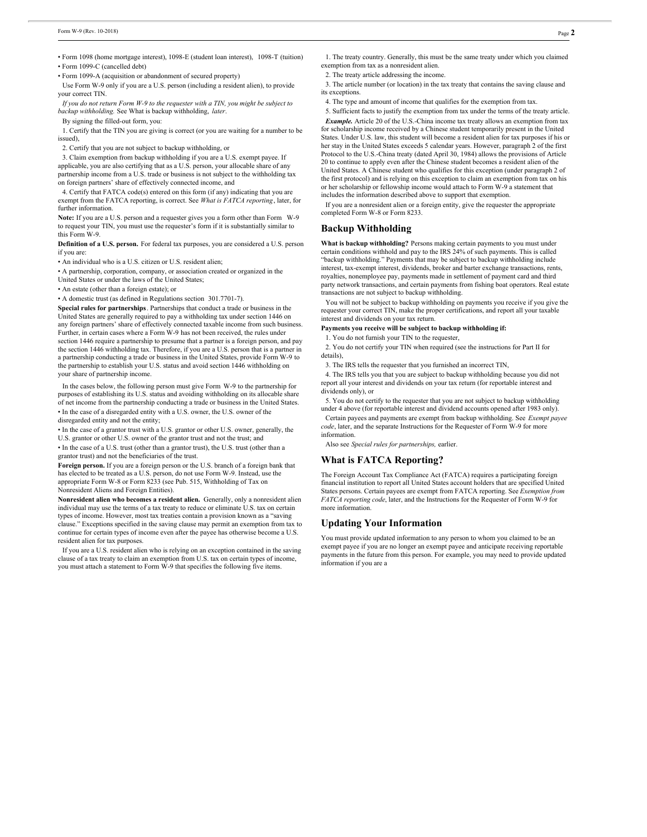• Form 1098 (home mortgage interest), 1098-E (student loan interest), 1098-T (tuition) • Form 1099-C (cancelled debt)

• Form 1099-A (acquisition or abandonment of secured property)

Use Form W-9 only if you are a U.S. person (including a resident alien), to provide your correct TIN.

*If you do not return Form W-9 to the requester with a TIN, you might be subject to backup withholding.* See What is backup withholding, *later*.

By signing the filled-out form, you:

1. Certify that the TIN you are giving is correct (or you are waiting for a number to be issued),

2. Certify that you are not subject to backup withholding, or

3. Claim exemption from backup withholding if you are a U.S. exempt payee. If applicable, you are also certifying that as a U.S. person, your allocable share of any partnership income from a U.S. trade or business is not subject to the withholding tax on foreign partners' share of effectively connected income, and

4. Certify that FATCA code(s) entered on this form (if any) indicating that you are exempt from the FATCA reporting, is correct. See *What is FATCA reporting*, later, for further information.

**Note:** If you are a U.S. person and a requester gives you a form other than Form W-9 to request your TIN, you must use the requester's form if it is substantially similar to this Form W-9.

**Definition of a U.S. person.** For federal tax purposes, you are considered a U.S. person if you are:

• An individual who is a U.S. citizen or U.S. resident alien;

• A partnership, corporation, company, or association created or organized in the

United States or under the laws of the United States;

• An estate (other than a foreign estate); or

• A domestic trust (as defined in Regulations section 301.7701-7).

**Special rules for partnerships**. Partnerships that conduct a trade or business in the United States are generally required to pay a withholding tax under section 1446 on any foreign partners' share of effectively connected taxable income from such business. Further, in certain cases where a Form W-9 has not been received, the rules under section 1446 require a partnership to presume that a partner is a foreign person, and pay the section 1446 withholding tax. Therefore, if you are a U.S. person that is a partner in a partnership conducting a trade or business in the United States, provide Form W-9 to the partnership to establish your U.S. status and avoid section 1446 withholding on your share of partnership income.

In the cases below, the following person must give Form W-9 to the partnership for purposes of establishing its U.S. status and avoiding withholding on its allocable share of net income from the partnership conducting a trade or business in the United States. • In the case of a disregarded entity with a U.S. owner, the U.S. owner of the disregarded entity and not the entity;

• In the case of a grantor trust with a U.S. grantor or other U.S. owner, generally, the U.S. grantor or other U.S. owner of the grantor trust and not the trust; and

• In the case of a U.S. trust (other than a grantor trust), the U.S. trust (other than a grantor trust) and not the beneficiaries of the trust.

**Foreign person.** If you are a foreign person or the U.S. branch of a foreign bank that has elected to be treated as a U.S. person, do not use Form W-9. Instead, use the appropriate Form W-8 or Form 8233 (see Pub. 515, Withholding of Tax on Nonresident Aliens and Foreign Entities).

**Nonresident alien who becomes a resident alien.** Generally, only a nonresident alien individual may use the terms of a tax treaty to reduce or eliminate U.S. tax on certain types of income. However, most tax treaties contain a provision known as a "saving clause." Exceptions specified in the saving clause may permit an exemption from tax to continue for certain types of income even after the payee has otherwise become a U.S. resident alien for tax purposes.

If you are a U.S. resident alien who is relying on an exception contained in the saving clause of a tax treaty to claim an exemption from U.S. tax on certain types of income, you must attach a statement to Form W-9 that specifies the following five items.

2. The treaty article addressing the income.

3. The article number (or location) in the tax treaty that contains the saving clause and its exceptions.

4. The type and amount of income that qualifies for the exemption from tax.

5. Sufficient facts to justify the exemption from tax under the terms of the treaty article. *Example.* Article 20 of the U.S.-China income tax treaty allows an exemption from tax for scholarship income received by a Chinese student temporarily present in the United States. Under U.S. law, this student will become a resident alien for tax purposes if his or her stay in the United States exceeds 5 calendar years. However, paragraph 2 of the first Protocol to the U.S.-China treaty (dated April 30, 1984) allows the provisions of Article 20 to continue to apply even after the Chinese student becomes a resident alien of the United States. A Chinese student who qualifies for this exception (under paragraph 2 of the first protocol) and is relying on this exception to claim an exemption from tax on his or her scholarship or fellowship income would attach to Form W-9 a statement that includes the information described above to support that exemption.

If you are a nonresident alien or a foreign entity, give the requester the appropriate completed Form W-8 or Form 8233.

# **Backup Withholding**

**What is backup withholding?** Persons making certain payments to you must under certain conditions withhold and pay to the IRS 24% of such payments. This is called "backup withholding." Payments that may be subject to backup withholding include interest, tax-exempt interest, dividends, broker and barter exchange transactions, rents, royalties, nonemployee pay, payments made in settlement of payment card and third party network transactions, and certain payments from fishing boat operators. Real estate transactions are not subject to backup withholding.

You will not be subject to backup withholding on payments you receive if you give the requester your correct TIN, make the proper certifications, and report all your taxable interest and dividends on your tax return.

#### **Payments you receive will be subject to backup withholding if:**

1. You do not furnish your TIN to the requester,

2. You do not certify your TIN when required (see the instructions for Part II for details),

3. The IRS tells the requester that you furnished an incorrect TIN,

4. The IRS tells you that you are subject to backup withholding because you did not report all your interest and dividends on your tax return (for reportable interest and dividends only), or

5. You do not certify to the requester that you are not subject to backup withholding under 4 above (for reportable interest and dividend accounts opened after 1983 only).

Certain payees and payments are exempt from backup withholding. See *Exempt payee code*, later, and the separate Instructions for the Requester of Form W-9 for more information.

Also see *Special rules for partnerships,* earlier.

## **What is FATCA Reporting?**

The Foreign Account Tax Compliance Act (FATCA) requires a participating foreign financial institution to report all United States account holders that are specified United States persons. Certain payees are exempt from FATCA reporting. See *Exemption from FATCA reporting code*, later, and the Instructions for the Requester of Form W-9 for more information.

## **Updating Your Information**

You must provide updated information to any person to whom you claimed to be an exempt payee if you are no longer an exempt payee and anticipate receiving reportable payments in the future from this person. For example, you may need to provide updated information if you are a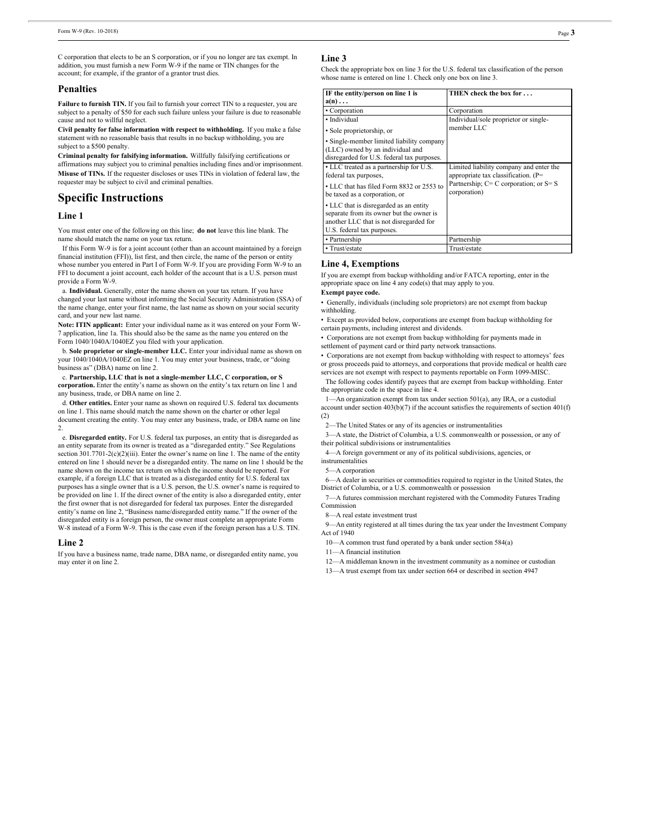C corporation that elects to be an S corporation, or if you no longer are tax exempt. In addition, you must furnish a new Form W-9 if the name or TIN changes for the account; for example, if the grantor of a grantor trust dies.

#### **Penalties**

**Failure to furnish TIN.** If you fail to furnish your correct TIN to a requester, you are subject to a penalty of \$50 for each such failure unless your failure is due to reasonable cause and not to willful neglect.

**Civil penalty for false information with respect to withholding.** If you make a false statement with no reasonable basis that results in no backup withholding, you are subject to a \$500 penalty.

**Criminal penalty for falsifying information.** Willfully falsifying certifications or affirmations may subject you to criminal penalties including fines and/or imprisonment. **Misuse of TINs.** If the requester discloses or uses TINs in violation of federal law, the requester may be subject to civil and criminal penalties.

# **Specific Instructions**

#### **Line 1**

You must enter one of the following on this line; **do not** leave this line blank. The name should match the name on your tax return.

If this Form W-9 is for a joint account (other than an account maintained by a foreign financial institution (FFI)), list first, and then circle, the name of the person or entity whose number you entered in Part I of Form W-9. If you are providing Form W-9 to an FFI to document a joint account, each holder of the account that is a U.S. person must provide a Form W-9.

a. **Individual.** Generally, enter the name shown on your tax return. If you have changed your last name without informing the Social Security Administration (SSA) of the name change, enter your first name, the last name as shown on your social security card, and your new last name.

**Note: ITIN applicant:** Enter your individual name as it was entered on your Form W-7 application, line 1a. This should also be the same as the name you entered on the Form 1040/1040A/1040EZ you filed with your application.

b. **Sole proprietor or single-member LLC.** Enter your individual name as shown on your 1040/1040A/1040EZ on line 1. You may enter your business, trade, or "doing business as" (DBA) name on line 2.

c. **Partnership, LLC that is not a single-member LLC, C corporation, or S corporation.** Enter the entity's name as shown on the entity's tax return on line 1 and any business, trade, or DBA name on line 2.

d. **Other entities.** Enter your name as shown on required U.S. federal tax documents on line 1. This name should match the name shown on the charter or other legal document creating the entity. You may enter any business, trade, or DBA name on line 2.

e. **Disregarded entity.** For U.S. federal tax purposes, an entity that is disregarded as an entity separate from its owner is treated as a "disregarded entity." See Regulations section 301.7701-2(c)(2)(iii). Enter the owner's name on line 1. The name of the entity entered on line 1 should never be a disregarded entity. The name on line 1 should be the name shown on the income tax return on which the income should be reported. For example, if a foreign LLC that is treated as a disregarded entity for U.S. federal tax purposes has a single owner that is a U.S. person, the U.S. owner's name is required to be provided on line 1. If the direct owner of the entity is also a disregarded entity, enter the first owner that is not disregarded for federal tax purposes. Enter the disregarded entity's name on line 2, "Business name/disregarded entity name." If the owner of the disregarded entity is a foreign person, the owner must complete an appropriate Form W-8 instead of a Form W-9. This is the case even if the foreign person has a U.S. TIN.

#### **Line 2**

If you have a business name, trade name, DBA name, or disregarded entity name, you may enter it on line 2.

# **Line 3**

Check the appropriate box on line 3 for the U.S. federal tax classification of the person whose name is entered on line 1. Check only one box on line 3.

| IF the entity/person on line 1 is                                                                                                                           | THEN check the box for                                       |
|-------------------------------------------------------------------------------------------------------------------------------------------------------------|--------------------------------------------------------------|
| $a(n) \ldots$                                                                                                                                               |                                                              |
| • Corporation                                                                                                                                               | Corporation                                                  |
| · Individual                                                                                                                                                | Individual/sole proprietor or single-                        |
| • Sole proprietorship, or                                                                                                                                   | member LLC                                                   |
| • Single-member limited liability company<br>(LLC) owned by an individual and<br>disregarded for U.S. federal tax purposes.                                 |                                                              |
| • LLC treated as a partnership for U.S.                                                                                                                     | Limited liability company and enter the                      |
| federal tax purposes,                                                                                                                                       | appropriate tax classification. $(P=$                        |
| • LLC that has filed Form 8832 or 2553 to<br>be taxed as a corporation, or                                                                                  | Partnership; $C = C$ corporation; or $S = S$<br>corporation) |
| • LLC that is disregarded as an entity<br>separate from its owner but the owner is<br>another LLC that is not disregarded for<br>U.S. federal tax purposes. |                                                              |
| • Partnership                                                                                                                                               | Partnership                                                  |
| • Trust/estate                                                                                                                                              | Trust/estate                                                 |

#### **Line 4, Exemptions**

If you are exempt from backup withholding and/or FATCA reporting, enter in the appropriate space on line 4 any code(s) that may apply to you.

**Exempt payee code.**

• Generally, individuals (including sole proprietors) are not exempt from backup withholding.

• Except as provided below, corporations are exempt from backup withholding for certain payments, including interest and dividends.

• Corporations are not exempt from backup withholding for payments made in settlement of payment card or third party network transactions.

• Corporations are not exempt from backup withholding with respect to attorneys' fees or gross proceeds paid to attorneys, and corporations that provide medical or health care services are not exempt with respect to payments reportable on Form 1099-MISC.

The following codes identify payees that are exempt from backup withholding. Enter the appropriate code in the space in line 4.

1—An organization exempt from tax under section 501(a), any IRA, or a custodial account under section  $403(b)(7)$  if the account satisfies the requirements of section  $401(f)$ (2)

2—The United States or any of its agencies or instrumentalities

3—A state, the District of Columbia, a U.S. commonwealth or possession, or any of their political subdivisions or instrumentalities

4—A foreign government or any of its political subdivisions, agencies, or

instrumentalities

5—A corporation

6—A dealer in securities or commodities required to register in the United States, the District of Columbia, or a U.S. commonwealth or possession

7—A futures commission merchant registered with the Commodity Futures Trading Commission

8—A real estate investment trust

9—An entity registered at all times during the tax year under the Investment Company Act of 1940

10—A common trust fund operated by a bank under section 584(a)

11—A financial institution

12—A middleman known in the investment community as a nominee or custodian

13—A trust exempt from tax under section 664 or described in section 4947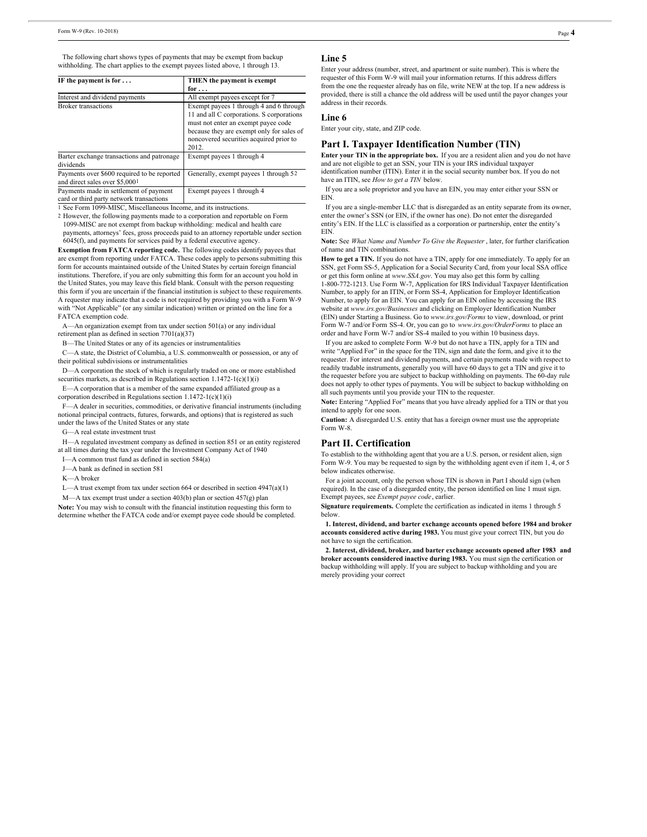The following chart shows types of payments that may be exempt from backup withholding. The chart applies to the exempt payees listed above, 1 through 13.

| IF the payment is for $\dots$                                                      | THEN the payment is exempt                                                                                                                                                                                                   |  |  |
|------------------------------------------------------------------------------------|------------------------------------------------------------------------------------------------------------------------------------------------------------------------------------------------------------------------------|--|--|
|                                                                                    | for $\dots$                                                                                                                                                                                                                  |  |  |
| Interest and dividend payments                                                     | All exempt payees except for 7                                                                                                                                                                                               |  |  |
| <b>Broker transactions</b>                                                         | Exempt payees 1 through 4 and 6 through<br>11 and all C corporations. S corporations<br>must not enter an exempt payee code<br>because they are exempt only for sales of<br>noncovered securities acquired prior to<br>2012. |  |  |
| Barter exchange transactions and patronage<br>dividends                            | Exempt payees 1 through 4                                                                                                                                                                                                    |  |  |
| Payments over \$600 required to be reported<br>and direct sales over \$5,0001      | Generally, exempt payees 1 through 52                                                                                                                                                                                        |  |  |
| Payments made in settlement of payment<br>card or third party network transactions | Exempt payees 1 through 4                                                                                                                                                                                                    |  |  |

1 See Form 1099-MISC, Miscellaneous Income, and its instructions.

2 However, the following payments made to a corporation and reportable on Form 1099-MISC are not exempt from backup withholding: medical and health care payments, attorneys' fees, gross proceeds paid to an attorney reportable under section 6045(f), and payments for services paid by a federal executive agency.

**Exemption from FATCA reporting code.** The following codes identify payees that are exempt from reporting under FATCA. These codes apply to persons submitting this form for accounts maintained outside of the United States by certain foreign financial institutions. Therefore, if you are only submitting this form for an account you hold in the United States, you may leave this field blank. Consult with the person requesting this form if you are uncertain if the financial institution is subject to these requirements. A requester may indicate that a code is not required by providing you with a Form W-9 with "Not Applicable" (or any similar indication) written or printed on the line for a FATCA exemption code.

A—An organization exempt from tax under section 501(a) or any individual retirement plan as defined in section 7701(a)(37)

B—The United States or any of its agencies or instrumentalities

C—A state, the District of Columbia, a U.S. commonwealth or possession, or any of their political subdivisions or instrumentalities

D—A corporation the stock of which is regularly traded on one or more established securities markets, as described in Regulations section 1.1472-1(c)(1)(i)

E—A corporation that is a member of the same expanded affiliated group as a corporation described in Regulations section 1.1472-1(c)(1)(i)

F—A dealer in securities, commodities, or derivative financial instruments (including notional principal contracts, futures, forwards, and options) that is registered as such under the laws of the United States or any state

G—A real estate investment trust

H—A regulated investment company as defined in section 851 or an entity registered at all times during the tax year under the Investment Company Act of 1940

I—A common trust fund as defined in section 584(a)

- J—A bank as defined in section 581
- K—A broker

L—A trust exempt from tax under section 664 or described in section 4947(a)(1)

M—A tax exempt trust under a section 403(b) plan or section  $457(g)$  plan

**Note:** You may wish to consult with the financial institution requesting this form to determine whether the FATCA code and/or exempt payee code should be completed.

# **Line 5**

Enter your address (number, street, and apartment or suite number). This is where the requester of this Form W-9 will mail your information returns. If this address differs from the one the requester already has on file, write NEW at the top. If a new address is provided, there is still a chance the old address will be used until the payor changes your address in their records.

## **Line 6**

Enter your city, state, and ZIP code.

# **Part I. Taxpayer Identification Number (TIN)**

**Enter your TIN in the appropriate box.** If you are a resident alien and you do not have and are not eligible to get an SSN, your TIN is your IRS individual taxpayer identification number (ITIN). Enter it in the social security number box. If you do not have an ITIN, see *How to get a TIN* below.

If you are a sole proprietor and you have an EIN, you may enter either your SSN or EIN.

If you are a single-member LLC that is disregarded as an entity separate from its owner, enter the owner's SSN (or EIN, if the owner has one). Do not enter the disregarded entity's EIN. If the LLC is classified as a corporation or partnership, enter the entity's EIN.

**Note:** See *What Name and Number To Give the Requester* , later, for further clarification of name and TIN combinations.

**How to get a TIN.** If you do not have a TIN, apply for one immediately. To apply for an SSN, get Form SS-5, Application for a Social Security Card, from your local SSA office or get this form online at *www.SSA.gov*. You may also get this form by calling

1-800-772-1213. Use Form W-7, Application for IRS Individual Taxpayer Identification Number, to apply for an ITIN, or Form SS-4, Application for Employer Identification Number, to apply for an EIN. You can apply for an EIN online by accessing the IRS website at *www.irs.gov/Businesses* and clicking on Employer Identification Number (EIN) under Starting a Business. Go to *www.irs.gov/Forms* to view, download, or print Form W-7 and/or Form SS-4. Or, you can go to *www.irs.gov/OrderForms* to place an order and have Form W-7 and/or SS-4 mailed to you within 10 business days.

If you are asked to complete Form W-9 but do not have a TIN, apply for a TIN and write "Applied For" in the space for the TIN, sign and date the form, and give it to the requester. For interest and dividend payments, and certain payments made with respect to readily tradable instruments, generally you will have 60 days to get a TIN and give it to the requester before you are subject to backup withholding on payments. The 60-day rule does not apply to other types of payments. You will be subject to backup withholding on all such payments until you provide your TIN to the requester.

**Note:** Entering "Applied For" means that you have already applied for a TIN or that you intend to apply for one soon.

**Caution:** A disregarded U.S. entity that has a foreign owner must use the appropriate Form W-8.

# **Part II. Certification**

To establish to the withholding agent that you are a U.S. person, or resident alien, sign Form W-9. You may be requested to sign by the withholding agent even if item 1, 4, or 5 below indicates otherwise.

For a joint account, only the person whose TIN is shown in Part I should sign (when required). In the case of a disregarded entity, the person identified on line 1 must sign. Exempt payees, see *Exempt payee code*, earlier.

**Signature requirements.** Complete the certification as indicated in items 1 through 5 below.

**1. Interest, dividend, and barter exchange accounts opened before 1984 and broker accounts considered active during 1983.** You must give your correct TIN, but you do not have to sign the certification.

**2. Interest, dividend, broker, and barter exchange accounts opened after 1983 and broker accounts considered inactive during 1983.** You must sign the certification or backup withholding will apply. If you are subject to backup withholding and you are merely providing your correct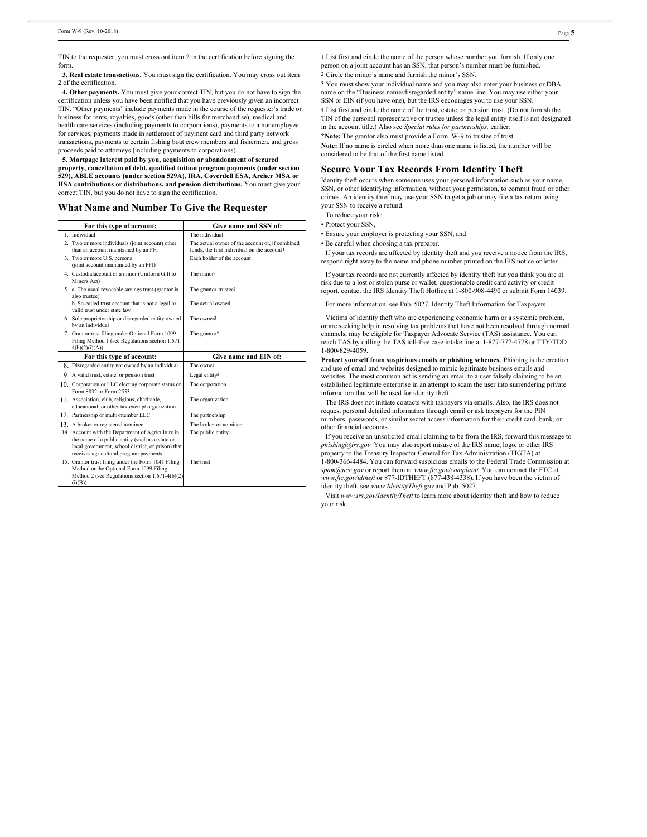TIN to the requester, you must cross out item 2 in the certification before signing the form.

**3. Real estate transactions.** You must sign the certification. You may cross out item 2 of the certification.

**4. Other payments.** You must give your correct TIN, but you do not have to sign the certification unless you have been notified that you have previously given an incorrect TIN. "Other payments" include payments made in the course of the requester's trade or business for rents, royalties, goods (other than bills for merchandise), medical and health care services (including payments to corporations), payments to a nonemployee for services, payments made in settlement of payment card and third party network transactions, payments to certain fishing boat crew members and fishermen, and gross proceeds paid to attorneys (including payments to corporations).

**5. Mortgage interest paid by you, acquisition or abandonment of secured property, cancellation of debt, qualified tuition program payments (under section 529), ABLE accounts (under section 529A), IRA, Coverdell ESA, Archer MSA or HSA contributions or distributions, and pension distributions.** You must give your correct TIN, but you do not have to sign the certification.

## **What Name and Number To Give the Requester**

| For this type of account:                                                                                                                                                                            | Give name and SSN of:                                                                                      |
|------------------------------------------------------------------------------------------------------------------------------------------------------------------------------------------------------|------------------------------------------------------------------------------------------------------------|
| 1. Individual                                                                                                                                                                                        | The individual                                                                                             |
| 2. Two or more individuals (joint account) other<br>than an account maintained by an FFI                                                                                                             | The actual owner of the account or, if combined<br>funds, the first individual on the account <sup>1</sup> |
| 3. Two or more U.S. persons<br>(joint account maintained by an FFI)                                                                                                                                  | Each holder of the account                                                                                 |
| 4. Custodialaccount of a minor (Uniform Gift to<br>Minors Act)                                                                                                                                       | The minor2                                                                                                 |
| 5. a. The usual revocable savings trust (grantor is                                                                                                                                                  | The grantor-trustee1                                                                                       |
| also trustee)<br>b. So-called trust account that is not a legal or<br>valid trust under state law                                                                                                    | The actual owner!                                                                                          |
| 6. Sole proprietorship or disregarded entity owned<br>by an individual                                                                                                                               | The owner <sup>3</sup>                                                                                     |
| 7. Grantortrust filing under Optional Form 1099<br>Filing Method 1 (see Regulations section 1.671-<br>4(b)(2)(i)(A))                                                                                 | The grantor*                                                                                               |
| For this type of account:                                                                                                                                                                            | Give name and EIN of:                                                                                      |
| 8. Disregarded entity not owned by an individual                                                                                                                                                     | The owner                                                                                                  |
| 9. A valid trust, estate, or pension trust                                                                                                                                                           | Legal entity4                                                                                              |
| 10. Corporation or LLC electing corporate status on<br>Form 8832 or Form 2553                                                                                                                        | The corporation                                                                                            |
| 11. Association, club, religious, charitable,<br>educational, or other tax-exempt organization                                                                                                       | The organization                                                                                           |
|                                                                                                                                                                                                      |                                                                                                            |
| 12. Partnership or multi-member LLC                                                                                                                                                                  | The partnership                                                                                            |
| 13. A broker or registered nominee                                                                                                                                                                   | The broker or nominee                                                                                      |
| 14. Account with the Department of Agriculture in<br>the name of a public entity (such as a state or<br>local government, school district, or prison) that<br>receives agricultural program payments | The public entity                                                                                          |

1 List first and circle the name of the person whose number you furnish. If only one person on a joint account has an SSN, that person's number must be furnished. 2 Circle the minor's name and furnish the minor's SSN.

3 You must show your individual name and you may also enter your business or DBA name on the "Business name/disregarded entity" name line. You may use either your SSN or EIN (if you have one), but the IRS encourages you to use your SSN. 4 List first and circle the name of the trust, estate, or pension trust. (Do not furnish the

TIN of the personal representative or trustee unless the legal entity itself is not designated in the account title.) Also see *Special rules for partnerships,* earlier.

**\*Note:** The grantor also must provide a Form W-9 to trustee of trust.

**Note:** If no name is circled when more than one name is listed, the number will be considered to be that of the first name listed.

# **Secure Your Tax Records From Identity Theft**

Identity theft occurs when someone uses your personal information such as your name, SSN, or other identifying information, without your permission, to commit fraud or other crimes. An identity thief may use your SSN to get a job or may file a tax return using your SSN to receive a refund.

To reduce your risk:

• Protect your SSN,

• Ensure your employer is protecting your SSN, and

• Be careful when choosing a tax preparer.

If your tax records are affected by identity theft and you receive a notice from the IRS, respond right away to the name and phone number printed on the IRS notice or letter.

If your tax records are not currently affected by identity theft but you think you are at risk due to a lost or stolen purse or wallet, questionable credit card activity or credit report, contact the IRS Identity Theft Hotline at 1-800-908-4490 or submit Form 14039.

For more information, see Pub. 5027, Identity Theft Information for Taxpayers.

Victims of identity theft who are experiencing economic harm or a systemic problem, or are seeking help in resolving tax problems that have not been resolved through normal channels, may be eligible for Taxpayer Advocate Service (TAS) assistance. You can reach TAS by calling the TAS toll-free case intake line at 1-877-777-4778 or TTY/TDD 1-800-829-4059.

**Protect yourself from suspicious emails or phishing schemes.** Phishing is the creation and use of email and websites designed to mimic legitimate business emails and websites. The most common act is sending an email to a user falsely claiming to be an established legitimate enterprise in an attempt to scam the user into surrendering private information that will be used for identity theft.

The IRS does not initiate contacts with taxpayers via emails. Also, the IRS does not request personal detailed information through email or ask taxpayers for the PIN numbers, passwords, or similar secret access information for their credit card, bank, or other financial accounts.

If you receive an unsolicited email claiming to be from the IRS, forward this message to *phishing@irs.gov*. You may also report misuse of the IRS name, logo, or other IRS property to the Treasury Inspector General for Tax Administration (TIGTA) at 1-800-366-4484. You can forward suspicious emails to the Federal Trade Commission at *spam@uce.gov* or report them at *www.ftc.gov/complaint*. You can contact the FTC at *www.ftc.gov/idtheft* or 877-IDTHEFT (877-438-4338). If you have been the victim of identity theft, see *www.IdentityTheft.gov* and Pub. 5027.

Visit *www.irs.gov/IdentityTheft* to learn more about identity theft and how to reduce your risk.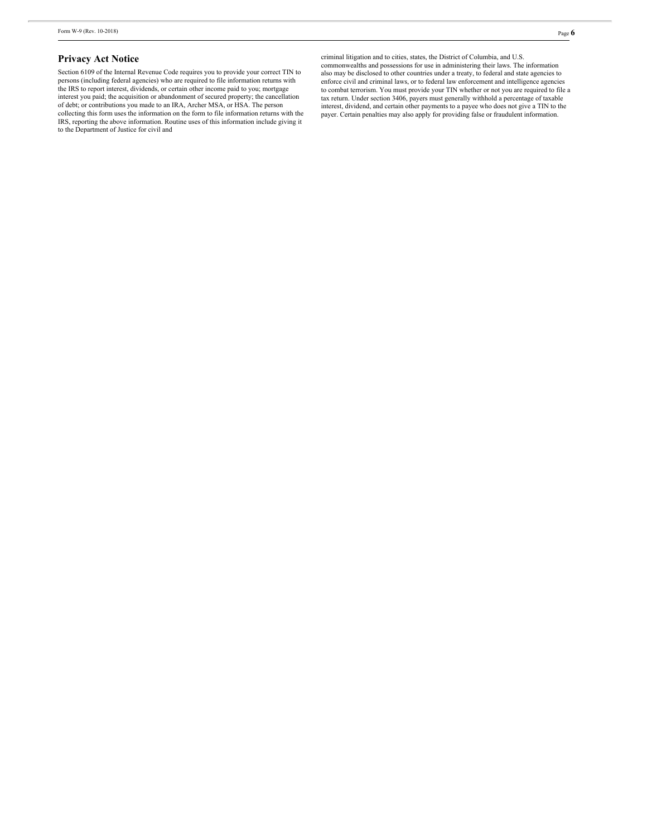# **Privacy Act Notice**

Section 6109 of the Internal Revenue Code requires you to provide your correct TIN to persons (including federal agencies) who are required to file information returns with the IRS to report interest, dividends, or certain other income paid to you; mortgage interest you paid; the acquisition or abandonment of secured property; the cancellation of debt; or contributions you made to an IRA, Archer MSA, or HSA. The person collecting this form uses the information on the form to file information returns with the IRS, reporting the above information. Routine uses of this information include giving it to the Department of Justice for civil and

criminal litigation and to cities, states, the District of Columbia, and U.S. commonwealths and possessions for use in administering their laws. The information also may be disclosed to other countries under a treaty, to federal and state agencies to enforce civil and criminal laws, or to federal law enforcement and intelligence agencies to combat terrorism. You must provide your TIN whether or not you are required to file a tax return. Under section 3406, payers must generally withhold a percentage of taxable interest, dividend, and certain other payments to a payee who does not give a TIN to the payer. Certain penalties may also apply for providing false or fraudulent information.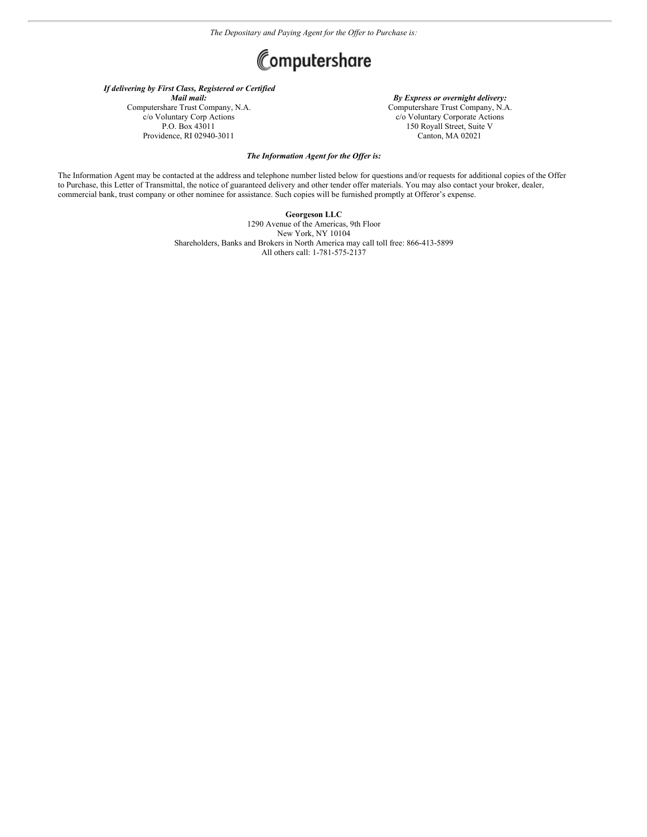

*If delivering by First Class, Registered or Certified* Computershare Trust Company, N.A.

c/o Voluntary Corp Actions P.O. Box 43011 Providence, RI 02940-3011

*Mail mail: By Express or overnight delivery:* Computershare Trust Company, N.A. c/o Voluntary Corporate Actions 150 Royall Street, Suite V Canton, MA 02021

## *The Information Agent for the Of er is:*

The Information Agent may be contacted at the address and telephone number listed below for questions and/or requests for additional copies of the Offer to Purchase, this Letter of Transmittal, the notice of guaranteed delivery and other tender offer materials. You may also contact your broker, dealer, commercial bank, trust company or other nominee for assistance. Such copies will be furnished promptly at Offeror's expense.

**Georgeson LLC**

1290 Avenue of the Americas, 9th Floor New York, NY 10104 Shareholders, Banks and Brokers in North America may call toll free: 866-413-5899 All others call: 1-781-575-2137